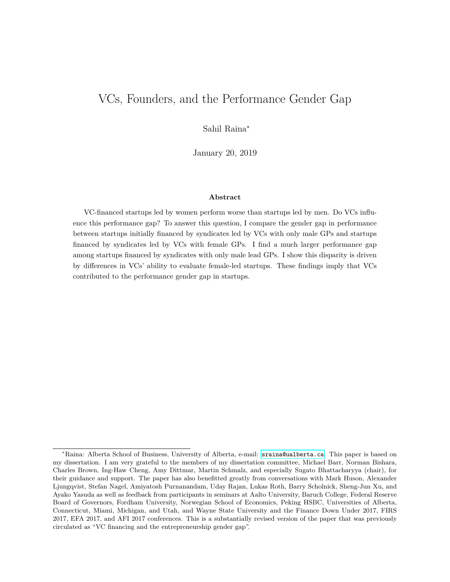# VCs, Founders, and the Performance Gender Gap

Sahil Raina<sup>∗</sup>

January 20, 2019

#### **Abstract**

VC-financed startups led by women perform worse than startups led by men. Do VCs influence this performance gap? To answer this question, I compare the gender gap in performance between startups initially financed by syndicates led by VCs with only male GPs and startups financed by syndicates led by VCs with female GPs. I find a much larger performance gap among startups financed by syndicates with only male lead GPs. I show this disparity is driven by differences in VCs' ability to evaluate female-led startups. These findings imply that VCs contributed to the performance gender gap in startups.

<sup>∗</sup>Raina: Alberta School of Business, University of Alberta, e-mail: [sraina@ualberta.ca](mailto:sraina@ualberta.ca). This paper is based on my dissertation. I am very grateful to the members of my dissertation committee, Michael Barr, Norman Bishara, Charles Brown, Ing-Haw Cheng, Amy Dittmar, Martin Schmalz, and especially Sugato Bhattacharyya (chair), for their guidance and support. The paper has also benefitted greatly from conversations with Mark Huson, Alexander Ljungqvist, Stefan Nagel, Amiyatosh Purnanandam, Uday Rajan, Lukas Roth, Barry Scholnick, Sheng-Jun Xu, and Ayako Yasuda as well as feedback from participants in seminars at Aalto University, Baruch College, Federal Reserve Board of Governors, Fordham University, Norwegian School of Economics, Peking HSBC, Universities of Alberta, Connecticut, Miami, Michigan, and Utah, and Wayne State University and the Finance Down Under 2017, FIRS 2017, EFA 2017, and AFI 2017 conferences. This is a substantially revised version of the paper that was previously circulated as "VC financing and the entrepreneurship gender gap".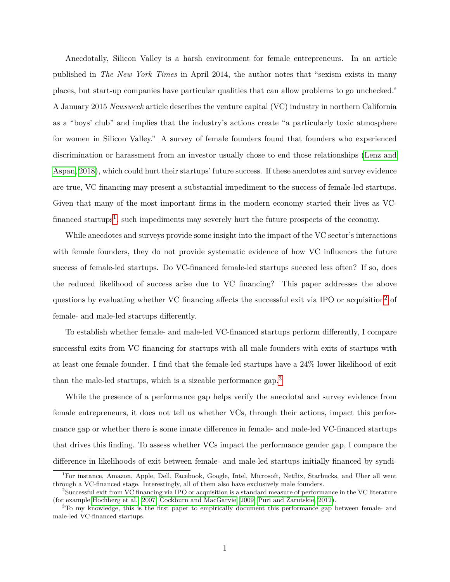Anecdotally, Silicon Valley is a harsh environment for female entrepreneurs. In an article published in *The New York Times* in April 2014, the author notes that "sexism exists in many places, but start-up companies have particular qualities that can allow problems to go unchecked." A January 2015 *Newsweek* article describes the venture capital (VC) industry in northern California as a "boys' club" and implies that the industry's actions create "a particularly toxic atmosphere for women in Silicon Valley." A survey of female founders found that founders who experienced discrimination or harassment from an investor usually chose to end those relationships [\(Lenz and](#page-34-0) [Aspan, 2018\)](#page-34-0), which could hurt their startups' future success. If these anecdotes and survey evidence are true, VC financing may present a substantial impediment to the success of female-led startups. Given that many of the most important firms in the modern economy started their lives as VC-financed startups<sup>[1](#page-1-0)</sup>, such impediments may severely hurt the future prospects of the economy.

While anecdotes and surveys provide some insight into the impact of the VC sector's interactions with female founders, they do not provide systematic evidence of how VC influences the future success of female-led startups. Do VC-financed female-led startups succeed less often? If so, does the reduced likelihood of success arise due to VC financing? This paper addresses the above questions by evaluating whether VC financing affects the successful exit via IPO or acquisition<sup>[2](#page-1-1)</sup> of female- and male-led startups differently.

To establish whether female- and male-led VC-financed startups perform differently, I compare successful exits from VC financing for startups with all male founders with exits of startups with at least one female founder. I find that the female-led startups have a 24% lower likelihood of exit than the male-led startups, which is a sizeable performance gap.[3](#page-1-2)

While the presence of a performance gap helps verify the anecdotal and survey evidence from female entrepreneurs, it does not tell us whether VCs, through their actions, impact this performance gap or whether there is some innate difference in female- and male-led VC-financed startups that drives this finding. To assess whether VCs impact the performance gender gap, I compare the difference in likelihoods of exit between female- and male-led startups initially financed by syndi-

<span id="page-1-0"></span><sup>1</sup>For instance, Amazon, Apple, Dell, Facebook, Google, Intel, Microsoft, Netflix, Starbucks, and Uber all went through a VC-financed stage. Interestingly, all of them also have exclusively male founders.

<span id="page-1-1"></span><sup>2</sup>Successful exit from VC financing via IPO or acquisition is a standard measure of performance in the VC literature (for example [Hochberg et al., 2007;](#page-33-0) [Cockburn and MacGarvie, 2009;](#page-32-0) [Puri and Zarutskie, 2012\)](#page-34-1).

<span id="page-1-2"></span><sup>&</sup>lt;sup>3</sup>To my knowledge, this is the first paper to empirically document this performance gap between female- and male-led VC-financed startups.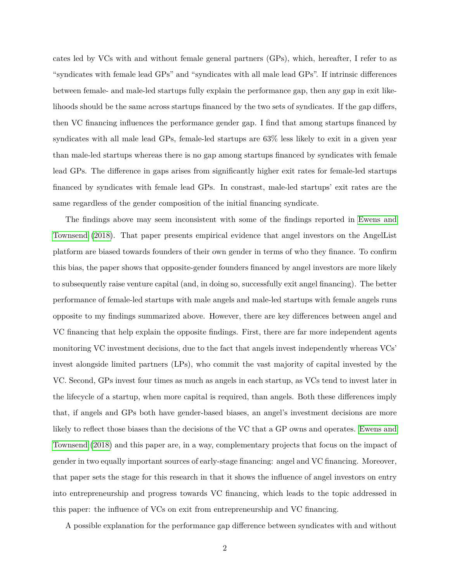cates led by VCs with and without female general partners (GPs), which, hereafter, I refer to as "syndicates with female lead GPs" and "syndicates with all male lead GPs". If intrinsic differences between female- and male-led startups fully explain the performance gap, then any gap in exit likelihoods should be the same across startups financed by the two sets of syndicates. If the gap differs, then VC financing influences the performance gender gap. I find that among startups financed by syndicates with all male lead GPs, female-led startups are 63% less likely to exit in a given year than male-led startups whereas there is no gap among startups financed by syndicates with female lead GPs. The difference in gaps arises from significantly higher exit rates for female-led startups financed by syndicates with female lead GPs. In constrast, male-led startups' exit rates are the same regardless of the gender composition of the initial financing syndicate.

The findings above may seem inconsistent with some of the findings reported in [Ewens and](#page-33-1) [Townsend](#page-33-1) [\(2018\)](#page-33-1). That paper presents empirical evidence that angel investors on the AngelList platform are biased towards founders of their own gender in terms of who they finance. To confirm this bias, the paper shows that opposite-gender founders financed by angel investors are more likely to subsequently raise venture capital (and, in doing so, successfully exit angel financing). The better performance of female-led startups with male angels and male-led startups with female angels runs opposite to my findings summarized above. However, there are key differences between angel and VC financing that help explain the opposite findings. First, there are far more independent agents monitoring VC investment decisions, due to the fact that angels invest independently whereas VCs' invest alongside limited partners (LPs), who commit the vast majority of capital invested by the VC. Second, GPs invest four times as much as angels in each startup, as VCs tend to invest later in the lifecycle of a startup, when more capital is required, than angels. Both these differences imply that, if angels and GPs both have gender-based biases, an angel's investment decisions are more likely to reflect those biases than the decisions of the VC that a GP owns and operates. [Ewens and](#page-33-1) [Townsend](#page-33-1) [\(2018\)](#page-33-1) and this paper are, in a way, complementary projects that focus on the impact of gender in two equally important sources of early-stage financing: angel and VC financing. Moreover, that paper sets the stage for this research in that it shows the influence of angel investors on entry into entrepreneurship and progress towards VC financing, which leads to the topic addressed in this paper: the influence of VCs on exit from entrepreneurship and VC financing.

A possible explanation for the performance gap difference between syndicates with and without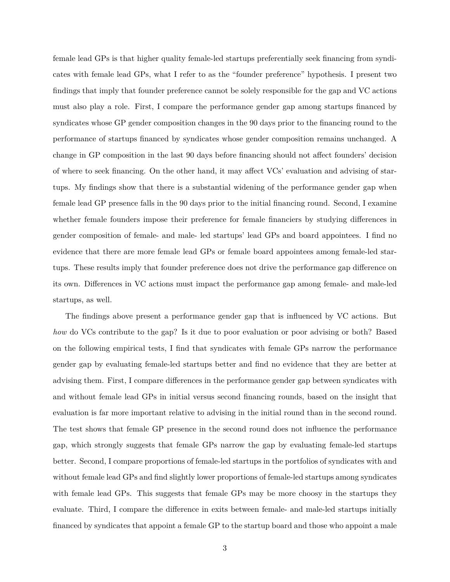female lead GPs is that higher quality female-led startups preferentially seek financing from syndicates with female lead GPs, what I refer to as the "founder preference" hypothesis. I present two findings that imply that founder preference cannot be solely responsible for the gap and VC actions must also play a role. First, I compare the performance gender gap among startups financed by syndicates whose GP gender composition changes in the 90 days prior to the financing round to the performance of startups financed by syndicates whose gender composition remains unchanged. A change in GP composition in the last 90 days before financing should not affect founders' decision of where to seek financing. On the other hand, it may affect VCs' evaluation and advising of startups. My findings show that there is a substantial widening of the performance gender gap when female lead GP presence falls in the 90 days prior to the initial financing round. Second, I examine whether female founders impose their preference for female financiers by studying differences in gender composition of female- and male- led startups' lead GPs and board appointees. I find no evidence that there are more female lead GPs or female board appointees among female-led startups. These results imply that founder preference does not drive the performance gap difference on its own. Differences in VC actions must impact the performance gap among female- and male-led startups, as well.

The findings above present a performance gender gap that is influenced by VC actions. But *how* do VCs contribute to the gap? Is it due to poor evaluation or poor advising or both? Based on the following empirical tests, I find that syndicates with female GPs narrow the performance gender gap by evaluating female-led startups better and find no evidence that they are better at advising them. First, I compare differences in the performance gender gap between syndicates with and without female lead GPs in initial versus second financing rounds, based on the insight that evaluation is far more important relative to advising in the initial round than in the second round. The test shows that female GP presence in the second round does not influence the performance gap, which strongly suggests that female GPs narrow the gap by evaluating female-led startups better. Second, I compare proportions of female-led startups in the portfolios of syndicates with and without female lead GPs and find slightly lower proportions of female-led startups among syndicates with female lead GPs. This suggests that female GPs may be more choosy in the startups they evaluate. Third, I compare the difference in exits between female- and male-led startups initially financed by syndicates that appoint a female GP to the startup board and those who appoint a male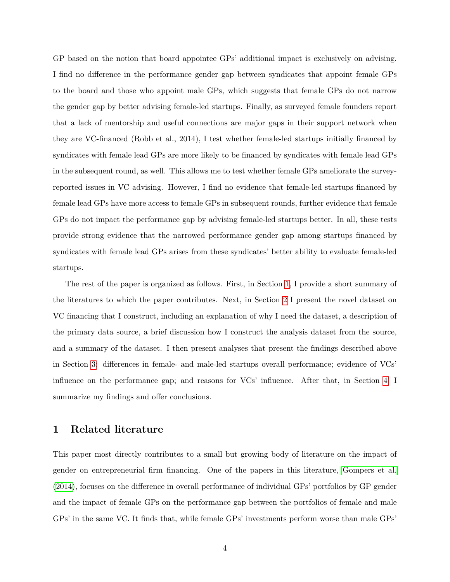GP based on the notion that board appointee GPs' additional impact is exclusively on advising. I find no difference in the performance gender gap between syndicates that appoint female GPs to the board and those who appoint male GPs, which suggests that female GPs do not narrow the gender gap by better advising female-led startups. Finally, as surveyed female founders report that a lack of mentorship and useful connections are major gaps in their support network when they are VC-financed (Robb et al., 2014), I test whether female-led startups initially financed by syndicates with female lead GPs are more likely to be financed by syndicates with female lead GPs in the subsequent round, as well. This allows me to test whether female GPs ameliorate the surveyreported issues in VC advising. However, I find no evidence that female-led startups financed by female lead GPs have more access to female GPs in subsequent rounds, further evidence that female GPs do not impact the performance gap by advising female-led startups better. In all, these tests provide strong evidence that the narrowed performance gender gap among startups financed by syndicates with female lead GPs arises from these syndicates' better ability to evaluate female-led startups.

The rest of the paper is organized as follows. First, in Section [1,](#page-4-0) I provide a short summary of the literatures to which the paper contributes. Next, in Section [2](#page-7-0) I present the novel dataset on VC financing that I construct, including an explanation of why I need the dataset, a description of the primary data source, a brief discussion how I construct the analysis dataset from the source, and a summary of the dataset. I then present analyses that present the findings described above in Section [3:](#page-14-0) differences in female- and male-led startups overall performance; evidence of VCs' influence on the performance gap; and reasons for VCs' influence. After that, in Section [4,](#page-31-0) I summarize my findings and offer conclusions.

# <span id="page-4-0"></span>**1 Related literature**

This paper most directly contributes to a small but growing body of literature on the impact of gender on entrepreneurial firm financing. One of the papers in this literature, [Gompers et al.](#page-33-2) [\(2014\)](#page-33-2), focuses on the difference in overall performance of individual GPs' portfolios by GP gender and the impact of female GPs on the performance gap between the portfolios of female and male GPs' in the same VC. It finds that, while female GPs' investments perform worse than male GPs'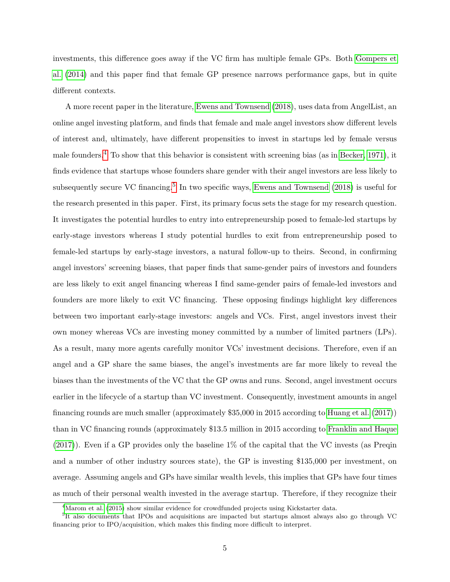investments, this difference goes away if the VC firm has multiple female GPs. Both [Gompers et](#page-33-2) [al.](#page-33-2) [\(2014\)](#page-33-2) and this paper find that female GP presence narrows performance gaps, but in quite different contexts.

A more recent paper in the literature, [Ewens and Townsend](#page-33-1) [\(2018\)](#page-33-1), uses data from AngelList, an online angel investing platform, and finds that female and male angel investors show different levels of interest and, ultimately, have different propensities to invest in startups led by female versus male founders.[4](#page-5-0) To show that this behavior is consistent with screening bias (as in [Becker, 1971\)](#page-32-1), it finds evidence that startups whose founders share gender with their angel investors are less likely to subsequently secure VC financing.<sup>[5](#page-5-1)</sup> In two specific ways, [Ewens and Townsend](#page-33-1) [\(2018\)](#page-33-1) is useful for the research presented in this paper. First, its primary focus sets the stage for my research question. It investigates the potential hurdles to entry into entrepreneurship posed to female-led startups by early-stage investors whereas I study potential hurdles to exit from entrepreneurship posed to female-led startups by early-stage investors, a natural follow-up to theirs. Second, in confirming angel investors' screening biases, that paper finds that same-gender pairs of investors and founders are less likely to exit angel financing whereas I find same-gender pairs of female-led investors and founders are more likely to exit VC financing. These opposing findings highlight key differences between two important early-stage investors: angels and VCs. First, angel investors invest their own money whereas VCs are investing money committed by a number of limited partners (LPs). As a result, many more agents carefully monitor VCs' investment decisions. Therefore, even if an angel and a GP share the same biases, the angel's investments are far more likely to reveal the biases than the investments of the VC that the GP owns and runs. Second, angel investment occurs earlier in the lifecycle of a startup than VC investment. Consequently, investment amounts in angel financing rounds are much smaller (approximately \$35,000 in 2015 according to [Huang et al.](#page-33-3) [\(2017\)](#page-33-3)) than in VC financing rounds (approximately \$13.5 million in 2015 according to [Franklin and Haque](#page-33-4) [\(2017\)](#page-33-4)). Even if a GP provides only the baseline 1% of the capital that the VC invests (as Preqin and a number of other industry sources state), the GP is investing \$135,000 per investment, on average. Assuming angels and GPs have similar wealth levels, this implies that GPs have four times as much of their personal wealth invested in the average startup. Therefore, if they recognize their

<span id="page-5-1"></span><span id="page-5-0"></span><sup>&</sup>lt;sup>4</sup>[Marom et al.](#page-34-2) [\(2015\)](#page-34-2) show similar evidence for crowdfunded projects using Kickstarter data.

<sup>&</sup>lt;sup>5</sup>It also documents that IPOs and acquisitions are impacted but startups almost always also go through VC financing prior to IPO/acquisition, which makes this finding more difficult to interpret.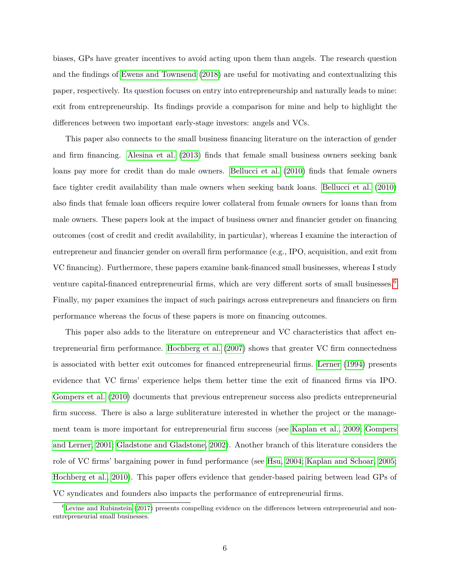biases, GPs have greater incentives to avoid acting upon them than angels. The research question and the findings of [Ewens and Townsend](#page-33-1) [\(2018\)](#page-33-1) are useful for motivating and contextualizing this paper, respectively. Its question focuses on entry into entrepreneurship and naturally leads to mine: exit from entrepreneurship. Its findings provide a comparison for mine and help to highlight the differences between two important early-stage investors: angels and VCs.

This paper also connects to the small business financing literature on the interaction of gender and firm financing. [Alesina et al.](#page-32-2) [\(2013\)](#page-32-2) finds that female small business owners seeking bank loans pay more for credit than do male owners. [Bellucci et al.](#page-32-3) [\(2010\)](#page-32-3) finds that female owners face tighter credit availability than male owners when seeking bank loans. [Bellucci et al.](#page-32-3) [\(2010\)](#page-32-3) also finds that female loan officers require lower collateral from female owners for loans than from male owners. These papers look at the impact of business owner and financier gender on financing outcomes (cost of credit and credit availability, in particular), whereas I examine the interaction of entrepreneur and financier gender on overall firm performance (e.g., IPO, acquisition, and exit from VC financing). Furthermore, these papers examine bank-financed small businesses, whereas I study venture capital-financed entrepreneurial firms, which are very different sorts of small businesses.<sup>[6](#page-6-0)</sup> Finally, my paper examines the impact of such pairings across entrepreneurs and financiers on firm performance whereas the focus of these papers is more on financing outcomes.

This paper also adds to the literature on entrepreneur and VC characteristics that affect entrepreneurial firm performance. [Hochberg et al.](#page-33-0) [\(2007\)](#page-33-0) shows that greater VC firm connectedness is associated with better exit outcomes for financed entrepreneurial firms. [Lerner](#page-34-3) [\(1994\)](#page-34-3) presents evidence that VC firms' experience helps them better time the exit of financed firms via IPO. [Gompers et al.](#page-33-5) [\(2010\)](#page-33-5) documents that previous entrepreneur success also predicts entrepreneurial firm success. There is also a large subliterature interested in whether the project or the management team is more important for entrepreneurial firm success (see [Kaplan et al., 2009;](#page-34-4) [Gompers](#page-33-6) [and Lerner, 2001;](#page-33-6) [Gladstone and Gladstone, 2002\)](#page-33-7). Another branch of this literature considers the role of VC firms' bargaining power in fund performance (see [Hsu, 2004;](#page-33-8) [Kaplan and Schoar, 2005;](#page-33-9) [Hochberg et al., 2010\)](#page-33-10). This paper offers evidence that gender-based pairing between lead GPs of VC syndicates and founders also impacts the performance of entrepreneurial firms.

<span id="page-6-0"></span><sup>&</sup>lt;sup>6</sup>[Levine and Rubinstein](#page-34-5) [\(2017\)](#page-34-5) presents compelling evidence on the differences between entrepreneurial and nonentrepreneurial small businesses.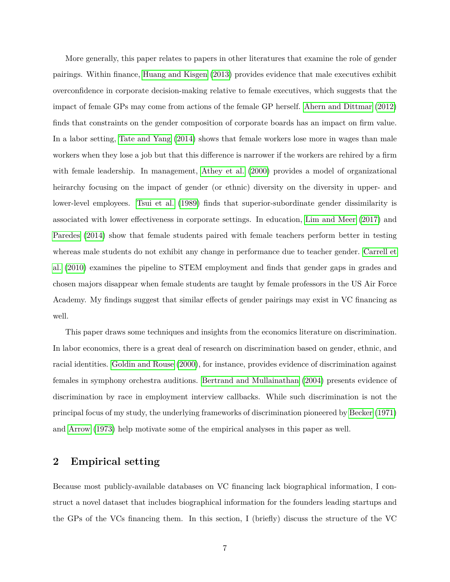More generally, this paper relates to papers in other literatures that examine the role of gender pairings. Within finance, [Huang and Kisgen](#page-33-11) [\(2013\)](#page-33-11) provides evidence that male executives exhibit overconfidence in corporate decision-making relative to female executives, which suggests that the impact of female GPs may come from actions of the female GP herself. [Ahern and Dittmar](#page-32-4) [\(2012\)](#page-32-4) finds that constraints on the gender composition of corporate boards has an impact on firm value. In a labor setting, [Tate and Yang](#page-34-6) [\(2014\)](#page-34-6) shows that female workers lose more in wages than male workers when they lose a job but that this difference is narrower if the workers are rehired by a firm with female leadership. In management, [Athey et al.](#page-32-5) [\(2000\)](#page-32-5) provides a model of organizational heirarchy focusing on the impact of gender (or ethnic) diversity on the diversity in upper- and lower-level employees. [Tsui et al.](#page-35-0) [\(1989\)](#page-35-0) finds that superior-subordinate gender dissimilarity is associated with lower effectiveness in corporate settings. In education, [Lim and Meer](#page-34-7) [\(2017\)](#page-34-7) and [Paredes](#page-34-8) [\(2014\)](#page-34-8) show that female students paired with female teachers perform better in testing whereas male students do not exhibit any change in performance due to teacher gender. [Carrell et](#page-32-6) [al.](#page-32-6) [\(2010\)](#page-32-6) examines the pipeline to STEM employment and finds that gender gaps in grades and chosen majors disappear when female students are taught by female professors in the US Air Force Academy. My findings suggest that similar effects of gender pairings may exist in VC financing as well.

This paper draws some techniques and insights from the economics literature on discrimination. In labor economics, there is a great deal of research on discrimination based on gender, ethnic, and racial identities. [Goldin and Rouse](#page-33-12) [\(2000\)](#page-33-12), for instance, provides evidence of discrimination against females in symphony orchestra auditions. [Bertrand and Mullainathan](#page-32-7) [\(2004\)](#page-32-7) presents evidence of discrimination by race in employment interview callbacks. While such discrimination is not the principal focus of my study, the underlying frameworks of discrimination pioneered by [Becker](#page-32-1) [\(1971\)](#page-32-1) and [Arrow](#page-32-8) [\(1973\)](#page-32-8) help motivate some of the empirical analyses in this paper as well.

# <span id="page-7-0"></span>**2 Empirical setting**

Because most publicly-available databases on VC financing lack biographical information, I construct a novel dataset that includes biographical information for the founders leading startups and the GPs of the VCs financing them. In this section, I (briefly) discuss the structure of the VC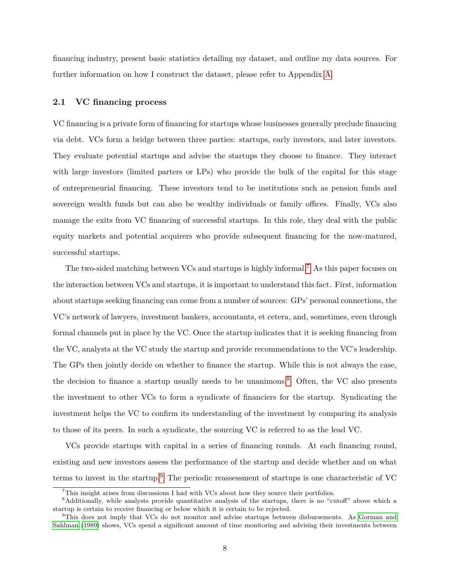financing industry, present basic statistics detailing my dataset, and outline my data sources. For further information on how I construct the dataset, please refer to Appendix [A.](#page-55-0)

## **2.1 VC financing process**

VC financing is a private form of financing for startups whose businesses generally preclude financing via debt. VCs form a bridge between three parties: startups, early investors, and later investors. They evaluate potential startups and advise the startups they choose to finance. They interact with large investors (limited parters or LPs) who provide the bulk of the capital for this stage of entrepreneurial financing. These investors tend to be institutions such as pension funds and sovereign wealth funds but can also be wealthy individuals or family offices. Finally, VCs also manage the exits from VC financing of successful startups. In this role, they deal with the public equity markets and potential acquirers who provide subsequent financing for the now-matured, successful startups.

The two-sided matching between VCs and startups is highly informal.<sup>[7](#page-8-0)</sup> As this paper focuses on the interaction between VCs and startups, it is important to understand this fact. First, information about startups seeking financing can come from a number of sources: GPs' personal connections, the VC's network of lawyers, investment bankers, accountants, et cetera, and, sometimes, even through formal channels put in place by the VC. Once the startup indicates that it is seeking financing from the VC, analysts at the VC study the startup and provide recommendations to the VC's leadership. The GPs then jointly decide on whether to finance the startup. While this is not always the case, the decision to finance a startup usually needs to be unanimous.<sup>[8](#page-8-1)</sup> Often, the VC also presents the investment to other VCs to form a syndicate of financiers for the startup. Syndicating the investment helps the VC to confirm its understanding of the investment by comparing its analysis to those of its peers. In such a syndicate, the sourcing VC is referred to as the lead VC.

VCs provide startups with capital in a series of financing rounds. At each financing round, existing and new investors assess the performance of the startup and decide whether and on what terms to invest in the startup.[9](#page-8-2) The periodic reassessment of startups is one characteristic of VC

<span id="page-8-1"></span><span id="page-8-0"></span><sup>7</sup>This insight arises from discussions I had with VCs about how they source their portfolios.

<sup>8</sup>Additionally, while analysts provide quantitative analysis of the startups, there is no "cutoff" above which a startup is certain to receive financing or below which it is certain to be rejected.

<span id="page-8-2"></span><sup>&</sup>lt;sup>9</sup>This does not imply that VCs do not monitor and advise startups between disbursements. As [Gorman and](#page-33-13) [Sahlman](#page-33-13) [\(1989\)](#page-33-13) shows, VCs spend a significant amount of time monitoring and advising their investments between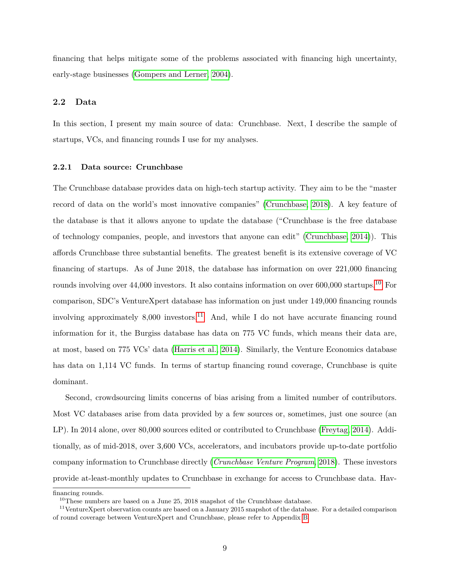financing that helps mitigate some of the problems associated with financing high uncertainty, early-stage businesses [\(Gompers and Lerner, 2004\)](#page-33-14).

## **2.2 Data**

In this section, I present my main source of data: Crunchbase. Next, I describe the sample of startups, VCs, and financing rounds I use for my analyses.

## **2.2.1 Data source: Crunchbase**

The Crunchbase database provides data on high-tech startup activity. They aim to be the "master record of data on the world's most innovative companies" [\(Crunchbase, 2018\)](#page-32-9). A key feature of the database is that it allows anyone to update the database ("Crunchbase is the free database of technology companies, people, and investors that anyone can edit" [\(Crunchbase, 2014\)](#page-32-10)). This affords Crunchbase three substantial benefits. The greatest benefit is its extensive coverage of VC financing of startups. As of June 2018, the database has information on over 221,000 financing rounds involving over 44,000 investors. It also contains information on over 600,000 startups.<sup>[10](#page-9-0)</sup> For comparison, SDC's VentureXpert database has information on just under 149,000 financing rounds involving approximately  $8,000$  investors.<sup>[11](#page-9-1)</sup> And, while I do not have accurate financing round information for it, the Burgiss database has data on 775 VC funds, which means their data are, at most, based on 775 VCs' data [\(Harris et al., 2014\)](#page-33-15). Similarly, the Venture Economics database has data on 1,114 VC funds. In terms of startup financing round coverage, Crunchbase is quite dominant.

Second, crowdsourcing limits concerns of bias arising from a limited number of contributors. Most VC databases arise from data provided by a few sources or, sometimes, just one source (an LP). In 2014 alone, over 80,000 sources edited or contributed to Crunchbase [\(Freytag, 2014\)](#page-33-16). Additionally, as of mid-2018, over 3,600 VCs, accelerators, and incubators provide up-to-date portfolio company information to Crunchbase directly (*[Crunchbase Venture Program](#page-32-11)*, [2018\)](#page-32-11). These investors provide at-least-monthly updates to Crunchbase in exchange for access to Crunchbase data. Hav-

financing rounds.

<span id="page-9-1"></span><span id="page-9-0"></span> $^{10}$ These numbers are based on a June 25, 2018 snapshot of the Crunchbase database.

<sup>&</sup>lt;sup>11</sup>VentureXpert observation counts are based on a January 2015 snapshot of the database. For a detailed comparison of round coverage between VentureXpert and Crunchbase, please refer to Appendix [B.](#page-57-0)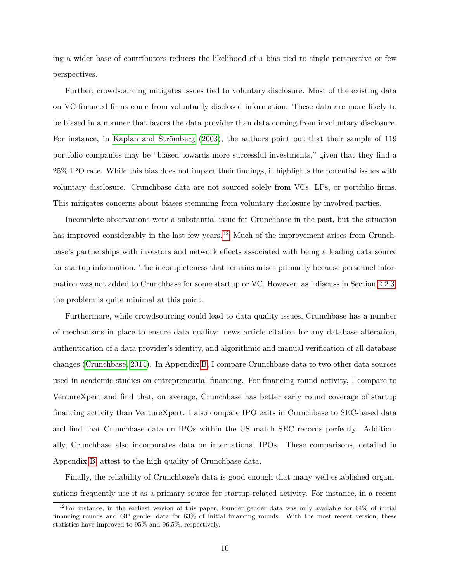ing a wider base of contributors reduces the likelihood of a bias tied to single perspective or few perspectives.

Further, crowdsourcing mitigates issues tied to voluntary disclosure. Most of the existing data on VC-financed firms come from voluntarily disclosed information. These data are more likely to be biased in a manner that favors the data provider than data coming from involuntary disclosure. For instance, in [Kaplan and Strömberg](#page-34-9) [\(2003\)](#page-34-9), the authors point out that their sample of 119 portfolio companies may be "biased towards more successful investments," given that they find a 25% IPO rate. While this bias does not impact their findings, it highlights the potential issues with voluntary disclosure. Crunchbase data are not sourced solely from VCs, LPs, or portfolio firms. This mitigates concerns about biases stemming from voluntary disclosure by involved parties.

Incomplete observations were a substantial issue for Crunchbase in the past, but the situation has improved considerably in the last few years.<sup>[12](#page-10-0)</sup> Much of the improvement arises from Crunchbase's partnerships with investors and network effects associated with being a leading data source for startup information. The incompleteness that remains arises primarily because personnel information was not added to Crunchbase for some startup or VC. However, as I discuss in Section [2.2.3,](#page-12-0) the problem is quite minimal at this point.

Furthermore, while crowdsourcing could lead to data quality issues, Crunchbase has a number of mechanisms in place to ensure data quality: news article citation for any database alteration, authentication of a data provider's identity, and algorithmic and manual verification of all database changes [\(Crunchbase, 2014\)](#page-32-10). In Appendix [B,](#page-57-0) I compare Crunchbase data to two other data sources used in academic studies on entrepreneurial financing. For financing round activity, I compare to VentureXpert and find that, on average, Crunchbase has better early round coverage of startup financing activity than VentureXpert. I also compare IPO exits in Crunchbase to SEC-based data and find that Crunchbase data on IPOs within the US match SEC records perfectly. Additionally, Crunchbase also incorporates data on international IPOs. These comparisons, detailed in Appendix [B,](#page-57-0) attest to the high quality of Crunchbase data.

Finally, the reliability of Crunchbase's data is good enough that many well-established organizations frequently use it as a primary source for startup-related activity. For instance, in a recent

<span id="page-10-0"></span><sup>&</sup>lt;sup>12</sup>For instance, in the earliest version of this paper, founder gender data was only available for  $64\%$  of initial financing rounds and GP gender data for 63% of initial financing rounds. With the most recent version, these statistics have improved to 95% and 96.5%, respectively.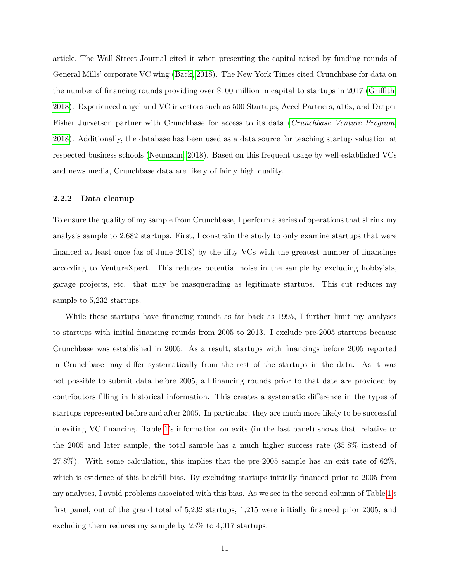article, The Wall Street Journal cited it when presenting the capital raised by funding rounds of General Mills' corporate VC wing [\(Back, 2018\)](#page-32-12). The New York Times cited Crunchbase for data on the number of financing rounds providing over \$100 million in capital to startups in 2017 [\(Griffith,](#page-33-17) [2018\)](#page-33-17). Experienced angel and VC investors such as 500 Startups, Accel Partners, a16z, and Draper Fisher Jurvetson partner with Crunchbase for access to its data (*[Crunchbase Venture Program](#page-32-11)*, [2018\)](#page-32-11). Additionally, the database has been used as a data source for teaching startup valuation at respected business schools [\(Neumann, 2018\)](#page-34-10). Based on this frequent usage by well-established VCs and news media, Crunchbase data are likely of fairly high quality.

## **2.2.2 Data cleanup**

To ensure the quality of my sample from Crunchbase, I perform a series of operations that shrink my analysis sample to 2,682 startups. First, I constrain the study to only examine startups that were financed at least once (as of June 2018) by the fifty VCs with the greatest number of financings according to VentureXpert. This reduces potential noise in the sample by excluding hobbyists, garage projects, etc. that may be masquerading as legitimate startups. This cut reduces my sample to 5,232 startups.

While these startups have financing rounds as far back as 1995, I further limit my analyses to startups with initial financing rounds from 2005 to 2013. I exclude pre-2005 startups because Crunchbase was established in 2005. As a result, startups with financings before 2005 reported in Crunchbase may differ systematically from the rest of the startups in the data. As it was not possible to submit data before 2005, all financing rounds prior to that date are provided by contributors filling in historical information. This creates a systematic difference in the types of startups represented before and after 2005. In particular, they are much more likely to be successful in exiting VC financing. Table [1'](#page-36-0)s information on exits (in the last panel) shows that, relative to the 2005 and later sample, the total sample has a much higher success rate (35.8% instead of 27.8%). With some calculation, this implies that the pre-2005 sample has an exit rate of  $62\%$ , which is evidence of this backfill bias. By excluding startups initially financed prior to 2005 from my analyses, I avoid problems associated with this bias. As we see in the second column of Table [1'](#page-36-0)s first panel, out of the grand total of 5,232 startups, 1,215 were initially financed prior 2005, and excluding them reduces my sample by 23% to 4,017 startups.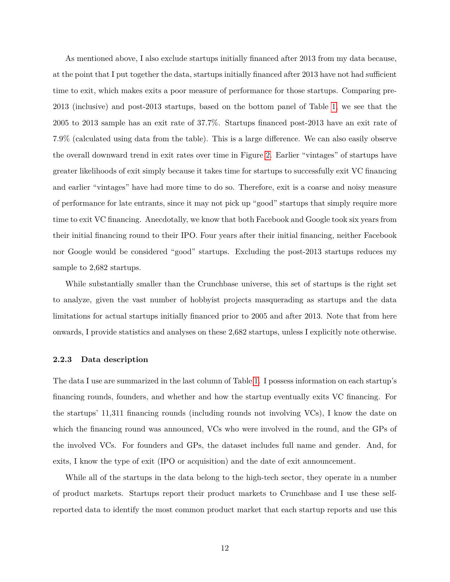As mentioned above, I also exclude startups initially financed after 2013 from my data because, at the point that I put together the data, startups initially financed after 2013 have not had sufficient time to exit, which makes exits a poor measure of performance for those startups. Comparing pre-2013 (inclusive) and post-2013 startups, based on the bottom panel of Table [1,](#page-36-0) we see that the 2005 to 2013 sample has an exit rate of 37.7%. Startups financed post-2013 have an exit rate of 7.9% (calculated using data from the table). This is a large difference. We can also easily observe the overall downward trend in exit rates over time in Figure [2.](#page-46-0) Earlier "vintages" of startups have greater likelihoods of exit simply because it takes time for startups to successfully exit VC financing and earlier "vintages" have had more time to do so. Therefore, exit is a coarse and noisy measure of performance for late entrants, since it may not pick up "good" startups that simply require more time to exit VC financing. Anecdotally, we know that both Facebook and Google took six years from their initial financing round to their IPO. Four years after their initial financing, neither Facebook nor Google would be considered "good" startups. Excluding the post-2013 startups reduces my sample to 2,682 startups.

While substantially smaller than the Crunchbase universe, this set of startups is the right set to analyze, given the vast number of hobbyist projects masquerading as startups and the data limitations for actual startups initially financed prior to 2005 and after 2013. Note that from here onwards, I provide statistics and analyses on these 2,682 startups, unless I explicitly note otherwise.

## <span id="page-12-0"></span>**2.2.3 Data description**

The data I use are summarized in the last column of Table [1.](#page-36-0) I possess information on each startup's financing rounds, founders, and whether and how the startup eventually exits VC financing. For the startups' 11,311 financing rounds (including rounds not involving VCs), I know the date on which the financing round was announced, VCs who were involved in the round, and the GPs of the involved VCs. For founders and GPs, the dataset includes full name and gender. And, for exits, I know the type of exit (IPO or acquisition) and the date of exit announcement.

While all of the startups in the data belong to the high-tech sector, they operate in a number of product markets. Startups report their product markets to Crunchbase and I use these selfreported data to identify the most common product market that each startup reports and use this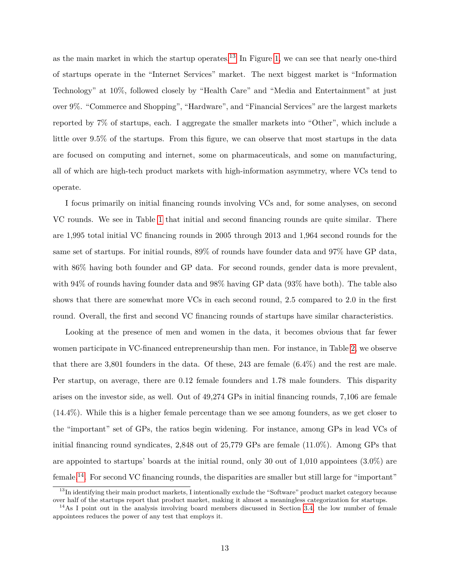as the main market in which the startup operates.<sup>[13](#page-13-0)</sup> In Figure [1,](#page-45-0) we can see that nearly one-third of startups operate in the "Internet Services" market. The next biggest market is "Information Technology" at 10%, followed closely by "Health Care" and "Media and Entertainment" at just over 9%. "Commerce and Shopping", "Hardware", and "Financial Services" are the largest markets reported by 7% of startups, each. I aggregate the smaller markets into "Other", which include a little over 9.5% of the startups. From this figure, we can observe that most startups in the data are focused on computing and internet, some on pharmaceuticals, and some on manufacturing, all of which are high-tech product markets with high-information asymmetry, where VCs tend to operate.

I focus primarily on initial financing rounds involving VCs and, for some analyses, on second VC rounds. We see in Table [1](#page-36-0) that initial and second financing rounds are quite similar. There are 1,995 total initial VC financing rounds in 2005 through 2013 and 1,964 second rounds for the same set of startups. For initial rounds, 89% of rounds have founder data and 97% have GP data, with 86% having both founder and GP data. For second rounds, gender data is more prevalent, with 94% of rounds having founder data and 98% having GP data (93% have both). The table also shows that there are somewhat more VCs in each second round, 2.5 compared to 2.0 in the first round. Overall, the first and second VC financing rounds of startups have similar characteristics.

Looking at the presence of men and women in the data, it becomes obvious that far fewer women participate in VC-financed entrepreneurship than men. For instance, in Table [2,](#page-37-0) we observe that there are 3,801 founders in the data. Of these, 243 are female (6.4%) and the rest are male. Per startup, on average, there are 0.12 female founders and 1.78 male founders. This disparity arises on the investor side, as well. Out of 49,274 GPs in initial financing rounds, 7,106 are female (14.4%). While this is a higher female percentage than we see among founders, as we get closer to the "important" set of GPs, the ratios begin widening. For instance, among GPs in lead VCs of initial financing round syndicates, 2,848 out of 25,779 GPs are female (11.0%). Among GPs that are appointed to startups' boards at the initial round, only 30 out of 1,010 appointees (3.0%) are female.[14](#page-13-1). For second VC financing rounds, the disparities are smaller but still large for "important"

<span id="page-13-0"></span><sup>&</sup>lt;sup>13</sup>In identifying their main product markets, I intentionally exclude the "Software" product market category because over half of the startups report that product market, making it almost a meaningless categorization for startups.

<span id="page-13-1"></span><sup>&</sup>lt;sup>14</sup>As I point out in the analysis involving board members discussed in Section [3.4,](#page-21-0) the low number of female appointees reduces the power of any test that employs it.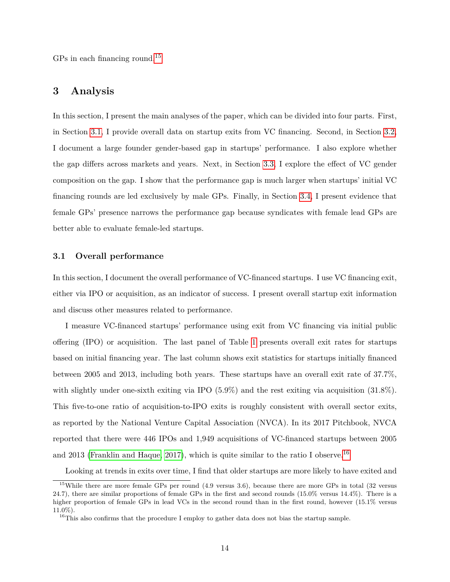GPs in each financing round.<sup>[15](#page-14-1)</sup>

# <span id="page-14-0"></span>**3 Analysis**

In this section, I present the main analyses of the paper, which can be divided into four parts. First, in Section [3.1,](#page-14-2) I provide overall data on startup exits from VC financing. Second, in Section [3.2,](#page-16-0) I document a large founder gender-based gap in startups' performance. I also explore whether the gap differs across markets and years. Next, in Section [3.3,](#page-17-0) I explore the effect of VC gender composition on the gap. I show that the performance gap is much larger when startups' initial VC financing rounds are led exclusively by male GPs. Finally, in Section [3.4,](#page-21-0) I present evidence that female GPs' presence narrows the performance gap because syndicates with female lead GPs are better able to evaluate female-led startups.

## <span id="page-14-2"></span>**3.1 Overall performance**

In this section, I document the overall performance of VC-financed startups. I use VC financing exit, either via IPO or acquisition, as an indicator of success. I present overall startup exit information and discuss other measures related to performance.

I measure VC-financed startups' performance using exit from VC financing via initial public offering (IPO) or acquisition. The last panel of Table [1](#page-36-0) presents overall exit rates for startups based on initial financing year. The last column shows exit statistics for startups initially financed between 2005 and 2013, including both years. These startups have an overall exit rate of 37.7%, with slightly under one-sixth exiting via IPO  $(5.9\%)$  and the rest exiting via acquisition  $(31.8\%)$ . This five-to-one ratio of acquisition-to-IPO exits is roughly consistent with overall sector exits, as reported by the National Venture Capital Association (NVCA). In its 2017 Pitchbook, NVCA reported that there were 446 IPOs and 1,949 acquisitions of VC-financed startups between 2005 and 2013 [\(Franklin and Haque, 2017\)](#page-33-4), which is quite similar to the ratio I observe.<sup>[16](#page-14-3)</sup>

<span id="page-14-1"></span>Looking at trends in exits over time, I find that older startups are more likely to have exited and

 $15$ While there are more female GPs per round (4.9 versus 3.6), because there are more GPs in total (32 versus 24.7), there are similar proportions of female GPs in the first and second rounds (15.0% versus 14.4%). There is a higher proportion of female GPs in lead VCs in the second round than in the first round, however (15.1% versus 11.0%).

<span id="page-14-3"></span> $16$ This also confirms that the procedure I employ to gather data does not bias the startup sample.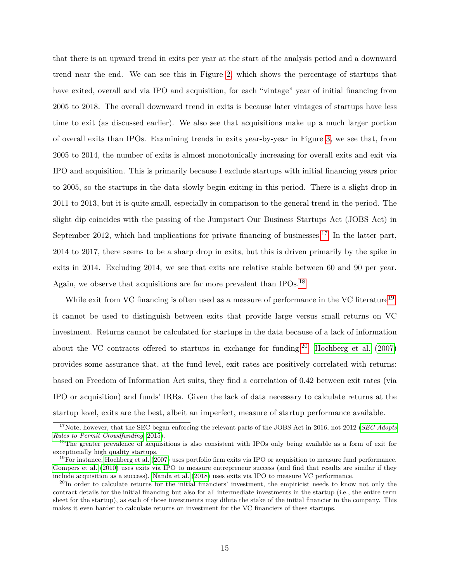that there is an upward trend in exits per year at the start of the analysis period and a downward trend near the end. We can see this in Figure [2,](#page-46-0) which shows the percentage of startups that have exited, overall and via IPO and acquisition, for each "vintage" year of initial financing from 2005 to 2018. The overall downward trend in exits is because later vintages of startups have less time to exit (as discussed earlier). We also see that acquisitions make up a much larger portion of overall exits than IPOs. Examining trends in exits year-by-year in Figure [3,](#page-47-0) we see that, from 2005 to 2014, the number of exits is almost monotonically increasing for overall exits and exit via IPO and acquisition. This is primarily because I exclude startups with initial financing years prior to 2005, so the startups in the data slowly begin exiting in this period. There is a slight drop in 2011 to 2013, but it is quite small, especially in comparison to the general trend in the period. The slight dip coincides with the passing of the Jumpstart Our Business Startups Act (JOBS Act) in September 2012, which had implications for private financing of businesses.<sup>[17](#page-15-0)</sup> In the latter part, 2014 to 2017, there seems to be a sharp drop in exits, but this is driven primarily by the spike in exits in 2014. Excluding 2014, we see that exits are relative stable between 60 and 90 per year. Again, we observe that acquisitions are far more prevalent than IPOs.[18](#page-15-1)

While exit from VC financing is often used as a measure of performance in the VC literature<sup>[19](#page-15-2)</sup>, it cannot be used to distinguish between exits that provide large versus small returns on VC investment. Returns cannot be calculated for startups in the data because of a lack of information about the VC contracts offered to startups in exchange for funding.<sup>[20](#page-15-3)</sup> [Hochberg et al.](#page-33-0)  $(2007)$ provides some assurance that, at the fund level, exit rates are positively correlated with returns: based on Freedom of Information Act suits, they find a correlation of 0.42 between exit rates (via IPO or acquisition) and funds' IRRs. Given the lack of data necessary to calculate returns at the startup level, exits are the best, albeit an imperfect, measure of startup performance available.

<span id="page-15-0"></span><sup>&</sup>lt;sup>17</sup>Note, however, that the SEC began enforcing the relevant parts of the JOBS Act in 2016, not 2012 (*[SEC Adopts](#page-34-11) [Rules to Permit Crowdfunding](#page-34-11)*, [2015\)](#page-34-11).

<span id="page-15-1"></span><sup>&</sup>lt;sup>18</sup>The greater prevalence of acquisitions is also consistent with IPOs only being available as a form of exit for exceptionally high quality startups.

<span id="page-15-2"></span><sup>&</sup>lt;sup>19</sup>For instance, [Hochberg et al.](#page-33-0) [\(2007\)](#page-33-0) uses portfolio firm exits via IPO or acquisition to measure fund performance. [Gompers et al.](#page-33-5) [\(2010\)](#page-33-5) uses exits via IPO to measure entrepreneur success (and find that results are similar if they include acquisition as a success). [Nanda et al.](#page-34-12) [\(2018\)](#page-34-12) uses exits via IPO to measure VC performance.

<span id="page-15-3"></span> $^{20}$ In order to calculate returns for the initial financiers' investment, the empiricist needs to know not only the contract details for the initial financing but also for all intermediate investments in the startup (i.e., the entire term sheet for the startup), as each of those investments may dilute the stake of the initial financier in the company. This makes it even harder to calculate returns on investment for the VC financiers of these startups.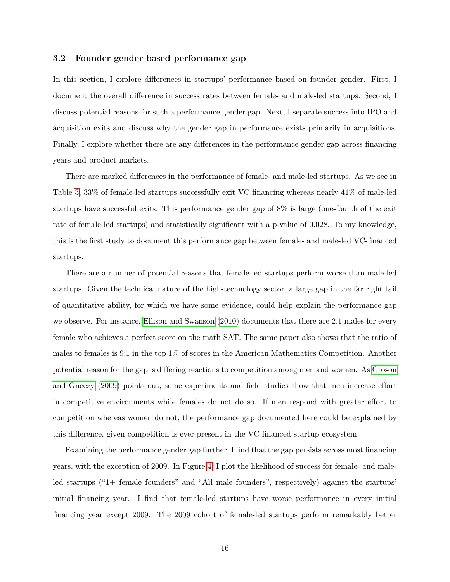## <span id="page-16-0"></span>**3.2 Founder gender-based performance gap**

In this section, I explore differences in startups' performance based on founder gender. First, I document the overall difference in success rates between female- and male-led startups. Second, I discuss potential reasons for such a performance gender gap. Next, I separate success into IPO and acquisition exits and discuss why the gender gap in performance exists primarily in acquisitions. Finally, I explore whether there are any differences in the performance gender gap across financing years and product markets.

There are marked differences in the performance of female- and male-led startups. As we see in Table [3,](#page-37-1) 33% of female-led startups successfully exit VC financing whereas nearly 41% of male-led startups have successful exits. This performance gender gap of 8% is large (one-fourth of the exit rate of female-led startups) and statistically significant with a p-value of 0.028. To my knowledge, this is the first study to document this performance gap between female- and male-led VC-financed startups.

There are a number of potential reasons that female-led startups perform worse than male-led startups. Given the technical nature of the high-technology sector, a large gap in the far right tail of quantitative ability, for which we have some evidence, could help explain the performance gap we observe. For instance, [Ellison and Swanson](#page-32-13) [\(2010\)](#page-32-13) documents that there are 2.1 males for every female who achieves a perfect score on the math SAT. The same paper also shows that the ratio of males to females is 9:1 in the top 1% of scores in the American Mathematics Competition. Another potential reason for the gap is differing reactions to competition among men and women. As [Croson](#page-32-14) [and Gneezy](#page-32-14) [\(2009\)](#page-32-14) points out, some experiments and field studies show that men increase effort in competitive environments while females do not do so. If men respond with greater effort to competition whereas women do not, the performance gap documented here could be explained by this difference, given competition is ever-present in the VC-financed startup ecosystem.

Examining the performance gender gap further, I find that the gap persists across most financing years, with the exception of 2009. In Figure [4,](#page-48-0) I plot the likelihood of success for female- and maleled startups ("1+ female founders" and "All male founders", respectively) against the startups' initial financing year. I find that female-led startups have worse performance in every initial financing year except 2009. The 2009 cohort of female-led startups perform remarkably better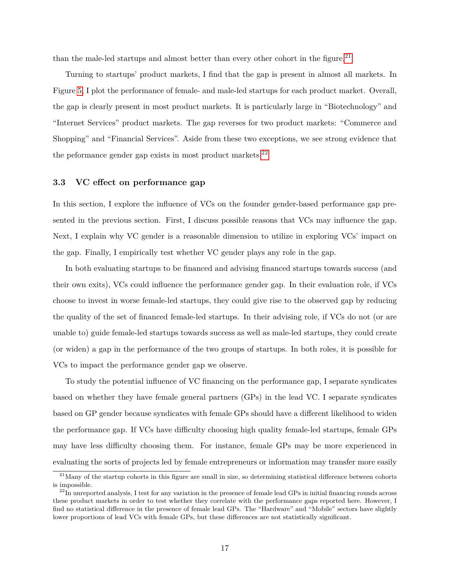than the male-led startups and almost better than every other cohort in the figure.<sup>[21](#page-17-1)</sup>

Turning to startups' product markets, I find that the gap is present in almost all markets. In Figure [5,](#page-49-0) I plot the performance of female- and male-led startups for each product market. Overall, the gap is clearly present in most product markets. It is particularly large in "Biotechnology" and "Internet Services" product markets. The gap reverses for two product markets: "Commerce and Shopping" and "Financial Services". Aside from these two exceptions, we see strong evidence that the peformance gender gap exists in most product markets.<sup>[22](#page-17-2)</sup>

## <span id="page-17-0"></span>**3.3 VC effect on performance gap**

In this section, I explore the influence of VCs on the founder gender-based performance gap presented in the previous section. First, I discuss possible reasons that VCs may influence the gap. Next, I explain why VC gender is a reasonable dimension to utilize in exploring VCs' impact on the gap. Finally, I empirically test whether VC gender plays any role in the gap.

In both evaluating startups to be financed and advising financed startups towards success (and their own exits), VCs could influence the performance gender gap. In their evaluation role, if VCs choose to invest in worse female-led startups, they could give rise to the observed gap by reducing the quality of the set of financed female-led startups. In their advising role, if VCs do not (or are unable to) guide female-led startups towards success as well as male-led startups, they could create (or widen) a gap in the performance of the two groups of startups. In both roles, it is possible for VCs to impact the performance gender gap we observe.

To study the potential influence of VC financing on the performance gap, I separate syndicates based on whether they have female general partners (GPs) in the lead VC. I separate syndicates based on GP gender because syndicates with female GPs should have a different likelihood to widen the performance gap. If VCs have difficulty choosing high quality female-led startups, female GPs may have less difficulty choosing them. For instance, female GPs may be more experienced in evaluating the sorts of projects led by female entrepreneurs or information may transfer more easily

<span id="page-17-1"></span> $21$ Many of the startup cohorts in this figure are small in size, so determining statistical difference between cohorts is impossible.

<span id="page-17-2"></span> $^{22}$ In unreported analysis, I test for any variation in the presence of female lead GPs in initial financing rounds across these product markets in order to test whether they correlate with the performance gaps reported here. However, I find no statistical difference in the presence of female lead GPs. The "Hardware" and "Mobile" sectors have slightly lower proportions of lead VCs with female GPs, but these differences are not statistically significant.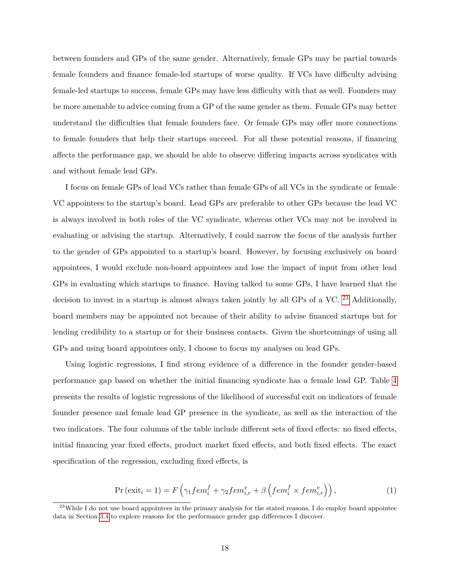between founders and GPs of the same gender. Alternatively, female GPs may be partial towards female founders and finance female-led startups of worse quality. If VCs have difficulty advising female-led startups to success, female GPs may have less difficulty with that as well. Founders may be more amenable to advice coming from a GP of the same gender as them. Female GPs may better understand the difficulties that female founders face. Or female GPs may offer more connections to female founders that help their startups succeed. For all these potential reasons, if financing affects the performance gap, we should be able to observe differing impacts across syndicates with and without female lead GPs.

I focus on female GPs of lead VCs rather than female GPs of all VCs in the syndicate or female VC appointees to the startup's board. Lead GPs are preferable to other GPs because the lead VC is always involved in both roles of the VC syndicate, whereas other VCs may not be involved in evaluating or advising the startup. Alternatively, I could narrow the focus of the analysis further to the gender of GPs appointed to a startup's board. However, by focusing exclusively on board appointees, I would exclude non-board appointees and lose the impact of input from other lead GPs in evaluating which startups to finance. Having talked to some GPs, I have learned that the decision to invest in a startup is almost always taken jointly by all GPs of a VC. [23](#page-18-0) Additionally, board members may be appointed not because of their ability to advise financed startups but for lending credibility to a startup or for their business contacts. Given the shortcomings of using all GPs and using board appointees only, I choose to focus my analyses on lead GPs.

Using logistic regressions, I find strong evidence of a difference in the founder gender-based performance gap based on whether the initial financing syndicate has a female lead GP. Table [4](#page-38-0) presents the results of logistic regressions of the likelihood of successful exit on indicators of female founder presence and female lead GP presence in the syndicate, as well as the interaction of the two indicators. The four columns of the table include different sets of fixed effects: no fixed effects, initial financing year fixed effects, product market fixed effects, and both fixed effects. The exact specification of the regression, excluding fixed effects, is

<span id="page-18-1"></span>
$$
Pr\left(\text{exit}_{i} = 1\right) = F\left(\gamma_{1}fem_{i}^{f} + \gamma_{2}fem_{i,r}^{v} + \beta\left(fem_{i}^{f} \times fem_{i,r}^{v}\right)\right),\tag{1}
$$

<span id="page-18-0"></span><sup>&</sup>lt;sup>23</sup>While I do not use board appointees in the primary analysis for the stated reasons, I do employ board appointee data in Section [3.4](#page-21-0) to explore reasons for the performance gender gap differences I discover.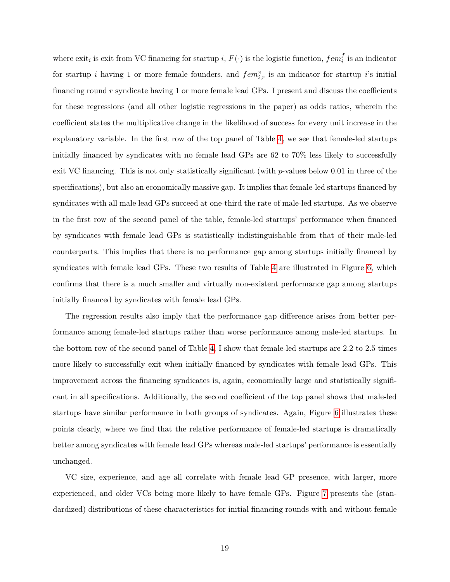where  $\text{exit}_i$  is exit from VC financing for startup *i*,  $F(\cdot)$  is the logistic function,  $fem_i^f$  is an indicator for startup *i* having 1 or more female founders, and  $fem_{i,r}^v$  is an indicator for startup *i*'s initial financing round *r* syndicate having 1 or more female lead GPs. I present and discuss the coefficients for these regressions (and all other logistic regressions in the paper) as odds ratios, wherein the coefficient states the multiplicative change in the likelihood of success for every unit increase in the explanatory variable. In the first row of the top panel of Table [4,](#page-38-0) we see that female-led startups initially financed by syndicates with no female lead GPs are 62 to 70% less likely to successfully exit VC financing. This is not only statistically significant (with *p*-values below 0.01 in three of the specifications), but also an economically massive gap. It implies that female-led startups financed by syndicates with all male lead GPs succeed at one-third the rate of male-led startups. As we observe in the first row of the second panel of the table, female-led startups' performance when financed by syndicates with female lead GPs is statistically indistinguishable from that of their male-led counterparts. This implies that there is no performance gap among startups initially financed by syndicates with female lead GPs. These two results of Table [4](#page-38-0) are illustrated in Figure [6,](#page-50-0) which confirms that there is a much smaller and virtually non-existent performance gap among startups initially financed by syndicates with female lead GPs.

The regression results also imply that the performance gap difference arises from better performance among female-led startups rather than worse performance among male-led startups. In the bottom row of the second panel of Table [4,](#page-38-0) I show that female-led startups are 2.2 to 2.5 times more likely to successfully exit when initially financed by syndicates with female lead GPs. This improvement across the financing syndicates is, again, economically large and statistically significant in all specifications. Additionally, the second coefficient of the top panel shows that male-led startups have similar performance in both groups of syndicates. Again, Figure [6](#page-50-0) illustrates these points clearly, where we find that the relative performance of female-led startups is dramatically better among syndicates with female lead GPs whereas male-led startups' performance is essentially unchanged.

VC size, experience, and age all correlate with female lead GP presence, with larger, more experienced, and older VCs being more likely to have female GPs. Figure [7](#page-51-0) presents the (standardized) distributions of these characteristics for initial financing rounds with and without female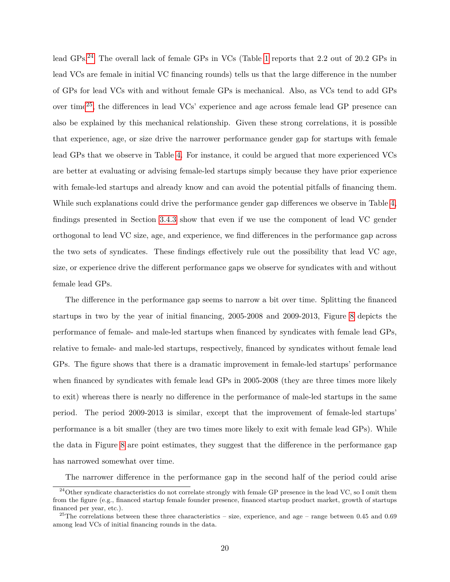lead GPs.[24](#page-20-0) The overall lack of female GPs in VCs (Table [1](#page-36-0) reports that 2.2 out of 20.2 GPs in lead VCs are female in initial VC financing rounds) tells us that the large difference in the number of GPs for lead VCs with and without female GPs is mechanical. Also, as VCs tend to add GPs over time<sup>[25](#page-20-1)</sup>, the differences in lead  $VCs'$  experience and age across female lead GP presence can also be explained by this mechanical relationship. Given these strong correlations, it is possible that experience, age, or size drive the narrower performance gender gap for startups with female lead GPs that we observe in Table [4.](#page-38-0) For instance, it could be argued that more experienced VCs are better at evaluating or advising female-led startups simply because they have prior experience with female-led startups and already know and can avoid the potential pitfalls of financing them. While such explanations could drive the performance gender gap differences we observe in Table [4,](#page-38-0) findings presented in Section [3.4.3](#page-30-0) show that even if we use the component of lead VC gender orthogonal to lead VC size, age, and experience, we find differences in the performance gap across the two sets of syndicates. These findings effectively rule out the possibility that lead VC age, size, or experience drive the different performance gaps we observe for syndicates with and without female lead GPs.

The difference in the performance gap seems to narrow a bit over time. Splitting the financed startups in two by the year of initial financing, 2005-2008 and 2009-2013, Figure [8](#page-52-0) depicts the performance of female- and male-led startups when financed by syndicates with female lead GPs, relative to female- and male-led startups, respectively, financed by syndicates without female lead GPs. The figure shows that there is a dramatic improvement in female-led startups' performance when financed by syndicates with female lead GPs in 2005-2008 (they are three times more likely to exit) whereas there is nearly no difference in the performance of male-led startups in the same period. The period 2009-2013 is similar, except that the improvement of female-led startups' performance is a bit smaller (they are two times more likely to exit with female lead GPs). While the data in Figure [8](#page-52-0) are point estimates, they suggest that the difference in the performance gap has narrowed somewhat over time.

<span id="page-20-0"></span>The narrower difference in the performance gap in the second half of the period could arise

 $^{24}$ Other syndicate characteristics do not correlate strongly with female GP presence in the lead VC, so I omit them from the figure (e.g., financed startup female founder presence, financed startup product market, growth of startups financed per year, etc.).

<span id="page-20-1"></span><sup>&</sup>lt;sup>25</sup>The correlations between these three characteristics – size, experience, and age – range between 0.45 and 0.69 among lead VCs of initial financing rounds in the data.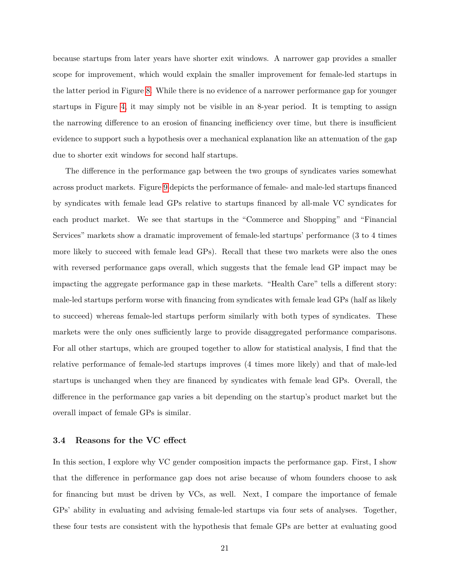because startups from later years have shorter exit windows. A narrower gap provides a smaller scope for improvement, which would explain the smaller improvement for female-led startups in the latter period in Figure [8.](#page-52-0) While there is no evidence of a narrower performance gap for younger startups in Figure [4,](#page-48-0) it may simply not be visible in an 8-year period. It is tempting to assign the narrowing difference to an erosion of financing inefficiency over time, but there is insufficient evidence to support such a hypothesis over a mechanical explanation like an attenuation of the gap due to shorter exit windows for second half startups.

The difference in the performance gap between the two groups of syndicates varies somewhat across product markets. Figure [9](#page-53-0) depicts the performance of female- and male-led startups financed by syndicates with female lead GPs relative to startups financed by all-male VC syndicates for each product market. We see that startups in the "Commerce and Shopping" and "Financial Services" markets show a dramatic improvement of female-led startups' performance (3 to 4 times more likely to succeed with female lead GPs). Recall that these two markets were also the ones with reversed performance gaps overall, which suggests that the female lead GP impact may be impacting the aggregate performance gap in these markets. "Health Care" tells a different story: male-led startups perform worse with financing from syndicates with female lead GPs (half as likely to succeed) whereas female-led startups perform similarly with both types of syndicates. These markets were the only ones sufficiently large to provide disaggregated performance comparisons. For all other startups, which are grouped together to allow for statistical analysis, I find that the relative performance of female-led startups improves (4 times more likely) and that of male-led startups is unchanged when they are financed by syndicates with female lead GPs. Overall, the difference in the performance gap varies a bit depending on the startup's product market but the overall impact of female GPs is similar.

#### <span id="page-21-0"></span>**3.4 Reasons for the VC effect**

In this section, I explore why VC gender composition impacts the performance gap. First, I show that the difference in performance gap does not arise because of whom founders choose to ask for financing but must be driven by VCs, as well. Next, I compare the importance of female GPs' ability in evaluating and advising female-led startups via four sets of analyses. Together, these four tests are consistent with the hypothesis that female GPs are better at evaluating good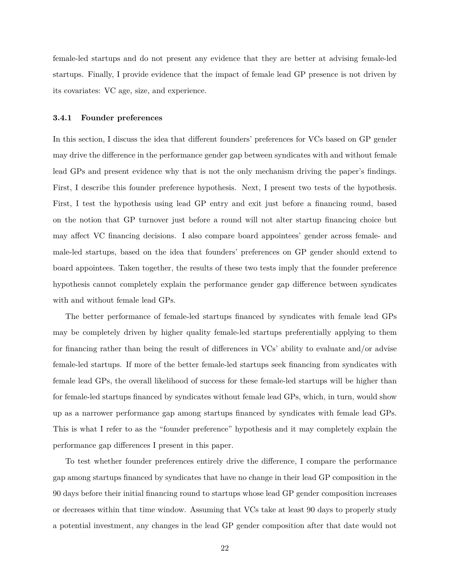female-led startups and do not present any evidence that they are better at advising female-led startups. Finally, I provide evidence that the impact of female lead GP presence is not driven by its covariates: VC age, size, and experience.

#### **3.4.1 Founder preferences**

In this section, I discuss the idea that different founders' preferences for VCs based on GP gender may drive the difference in the performance gender gap between syndicates with and without female lead GPs and present evidence why that is not the only mechanism driving the paper's findings. First, I describe this founder preference hypothesis. Next, I present two tests of the hypothesis. First, I test the hypothesis using lead GP entry and exit just before a financing round, based on the notion that GP turnover just before a round will not alter startup financing choice but may affect VC financing decisions. I also compare board appointees' gender across female- and male-led startups, based on the idea that founders' preferences on GP gender should extend to board appointees. Taken together, the results of these two tests imply that the founder preference hypothesis cannot completely explain the performance gender gap difference between syndicates with and without female lead GPs.

The better performance of female-led startups financed by syndicates with female lead GPs may be completely driven by higher quality female-led startups preferentially applying to them for financing rather than being the result of differences in VCs' ability to evaluate and/or advise female-led startups. If more of the better female-led startups seek financing from syndicates with female lead GPs, the overall likelihood of success for these female-led startups will be higher than for female-led startups financed by syndicates without female lead GPs, which, in turn, would show up as a narrower performance gap among startups financed by syndicates with female lead GPs. This is what I refer to as the "founder preference" hypothesis and it may completely explain the performance gap differences I present in this paper.

To test whether founder preferences entirely drive the difference, I compare the performance gap among startups financed by syndicates that have no change in their lead GP composition in the 90 days before their initial financing round to startups whose lead GP gender composition increases or decreases within that time window. Assuming that VCs take at least 90 days to properly study a potential investment, any changes in the lead GP gender composition after that date would not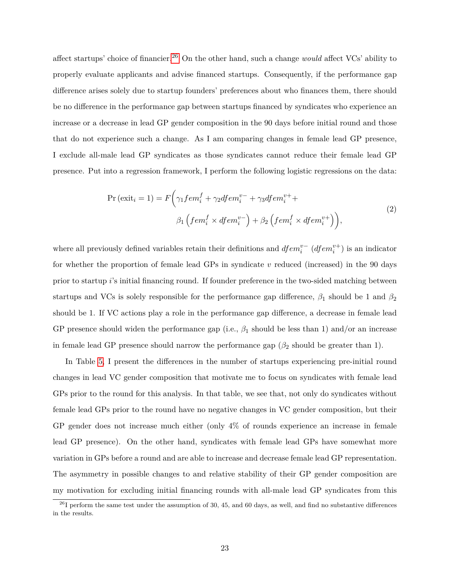affect startups' choice of financier.[26](#page-23-0) On the other hand, such a change *would* affect VCs' ability to properly evaluate applicants and advise financed startups. Consequently, if the performance gap difference arises solely due to startup founders' preferences about who finances them, there should be no difference in the performance gap between startups financed by syndicates who experience an increase or a decrease in lead GP gender composition in the 90 days before initial round and those that do not experience such a change. As I am comparing changes in female lead GP presence, I exclude all-male lead GP syndicates as those syndicates cannot reduce their female lead GP presence. Put into a regression framework, I perform the following logistic regressions on the data:

<span id="page-23-1"></span>
$$
Pr (exiti = 1) = F\left(\gamma_1 fem_i^f + \gamma_2 dfem_i^{v-} + \gamma_3 dfem_i^{v+} + \beta_1 \left( fem_i^f \times dfem_i^{v-}\right) + \beta_2 \left( fem_i^f \times dfem_i^{v+}\right)\right),
$$
\n(2)

where all previously defined variables retain their definitions and  $d$ f $em_i^{v-}$  ( $d$ f $em_i^{v+}$ ) is an indicator for whether the proportion of female lead GPs in syndicate *v* reduced (increased) in the 90 days prior to startup *i*'s initial financing round. If founder preference in the two-sided matching between startups and VCs is solely responsible for the performance gap difference,  $\beta_1$  should be 1 and  $\beta_2$ should be 1. If VC actions play a role in the performance gap difference, a decrease in female lead GP presence should widen the performance gap (i.e., *β*<sup>1</sup> should be less than 1) and/or an increase in female lead GP presence should narrow the performance gap  $(\beta_2$  should be greater than 1).

In Table [5,](#page-38-1) I present the differences in the number of startups experiencing pre-initial round changes in lead VC gender composition that motivate me to focus on syndicates with female lead GPs prior to the round for this analysis. In that table, we see that, not only do syndicates without female lead GPs prior to the round have no negative changes in VC gender composition, but their GP gender does not increase much either (only 4% of rounds experience an increase in female lead GP presence). On the other hand, syndicates with female lead GPs have somewhat more variation in GPs before a round and are able to increase and decrease female lead GP representation. The asymmetry in possible changes to and relative stability of their GP gender composition are my motivation for excluding initial financing rounds with all-male lead GP syndicates from this

<span id="page-23-0"></span> $^{26}$ I perform the same test under the assumption of 30, 45, and 60 days, as well, and find no substantive differences in the results.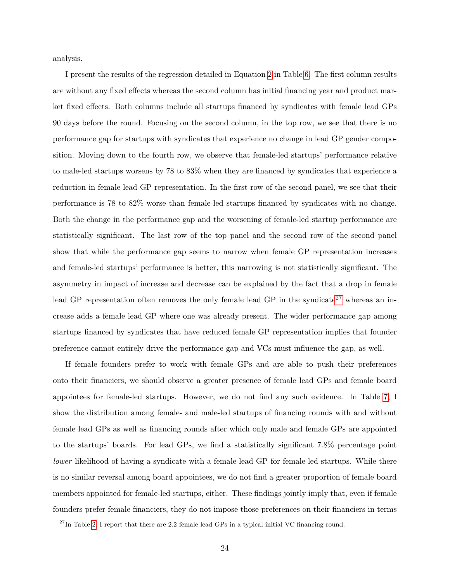analysis.

I present the results of the regression detailed in Equation [2](#page-23-1) in Table [6.](#page-39-0) The first column results are without any fixed effects whereas the second column has initial financing year and product market fixed effects. Both columns include all startups financed by syndicates with female lead GPs 90 days before the round. Focusing on the second column, in the top row, we see that there is no performance gap for startups with syndicates that experience no change in lead GP gender composition. Moving down to the fourth row, we observe that female-led startups' performance relative to male-led startups worsens by 78 to 83% when they are financed by syndicates that experience a reduction in female lead GP representation. In the first row of the second panel, we see that their performance is 78 to 82% worse than female-led startups financed by syndicates with no change. Both the change in the performance gap and the worsening of female-led startup performance are statistically significant. The last row of the top panel and the second row of the second panel show that while the performance gap seems to narrow when female GP representation increases and female-led startups' performance is better, this narrowing is not statistically significant. The asymmetry in impact of increase and decrease can be explained by the fact that a drop in female lead GP representation often removes the only female lead GP in the syndicate<sup>[27](#page-24-0)</sup> whereas an increase adds a female lead GP where one was already present. The wider performance gap among startups financed by syndicates that have reduced female GP representation implies that founder preference cannot entirely drive the performance gap and VCs must influence the gap, as well.

If female founders prefer to work with female GPs and are able to push their preferences onto their financiers, we should observe a greater presence of female lead GPs and female board appointees for female-led startups. However, we do not find any such evidence. In Table [7,](#page-40-0) I show the distribution among female- and male-led startups of financing rounds with and without female lead GPs as well as financing rounds after which only male and female GPs are appointed to the startups' boards. For lead GPs, we find a statistically significant 7.8% percentage point *lower* likelihood of having a syndicate with a female lead GP for female-led startups. While there is no similar reversal among board appointees, we do not find a greater proportion of female board members appointed for female-led startups, either. These findings jointly imply that, even if female founders prefer female financiers, they do not impose those preferences on their financiers in terms

<span id="page-24-0"></span> $^{27}$ In Table [2,](#page-37-0) I report that there are 2.2 female lead GPs in a typical initial VC financing round.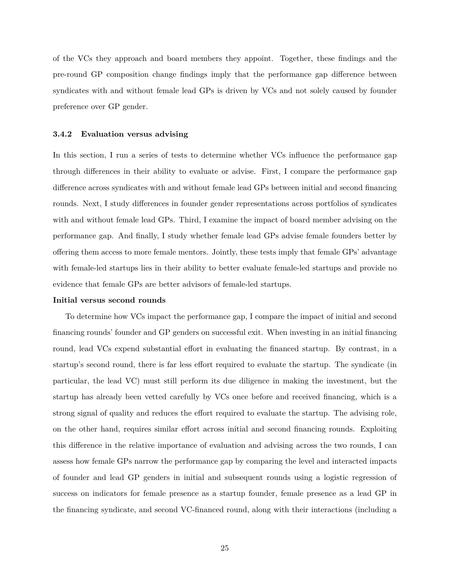of the VCs they approach and board members they appoint. Together, these findings and the pre-round GP composition change findings imply that the performance gap difference between syndicates with and without female lead GPs is driven by VCs and not solely caused by founder preference over GP gender.

## **3.4.2 Evaluation versus advising**

In this section, I run a series of tests to determine whether VCs influence the performance gap through differences in their ability to evaluate or advise. First, I compare the performance gap difference across syndicates with and without female lead GPs between initial and second financing rounds. Next, I study differences in founder gender representations across portfolios of syndicates with and without female lead GPs. Third, I examine the impact of board member advising on the performance gap. And finally, I study whether female lead GPs advise female founders better by offering them access to more female mentors. Jointly, these tests imply that female GPs' advantage with female-led startups lies in their ability to better evaluate female-led startups and provide no evidence that female GPs are better advisors of female-led startups.

#### **Initial versus second rounds**

To determine how VCs impact the performance gap, I compare the impact of initial and second financing rounds' founder and GP genders on successful exit. When investing in an initial financing round, lead VCs expend substantial effort in evaluating the financed startup. By contrast, in a startup's second round, there is far less effort required to evaluate the startup. The syndicate (in particular, the lead VC) must still perform its due diligence in making the investment, but the startup has already been vetted carefully by VCs once before and received financing, which is a strong signal of quality and reduces the effort required to evaluate the startup. The advising role, on the other hand, requires similar effort across initial and second financing rounds. Exploiting this difference in the relative importance of evaluation and advising across the two rounds, I can assess how female GPs narrow the performance gap by comparing the level and interacted impacts of founder and lead GP genders in initial and subsequent rounds using a logistic regression of success on indicators for female presence as a startup founder, female presence as a lead GP in the financing syndicate, and second VC-financed round, along with their interactions (including a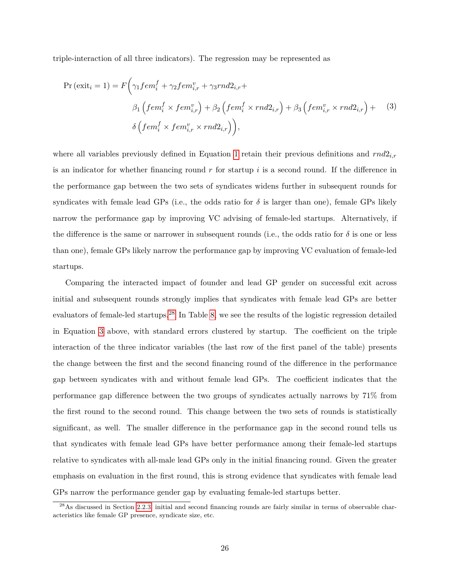triple-interaction of all three indicators). The regression may be represented as

<span id="page-26-1"></span>
$$
\Pr\left(\text{exit}_{i} = 1\right) = F\left(\gamma_{1}fem_{i}^{f} + \gamma_{2}fem_{i,r}^{v} + \gamma_{3}rnd_{i,r} + \beta_{1}\left(fem_{i}^{f} \times fem_{i,r}^{v}\right) + \beta_{2}\left(fem_{i}^{f} \times rnd_{i,r}\right) + \beta_{3}\left(fem_{i,r}^{v} \times rnd_{i,r}\right) + \beta_{4}\left(fem_{i,r}^{f} \times rend_{i,r}\right)\right),\tag{3}
$$
\n
$$
\delta\left(fem_{i}^{f} \times fem_{i,r}^{v} \times rnd_{i,r}\right),
$$

where all variables previously defined in Equation [1](#page-18-1) retain their previous definitions and  $rnd2<sub>i,r</sub>$ is an indicator for whether financing round *r* for startup *i* is a second round. If the difference in the performance gap between the two sets of syndicates widens further in subsequent rounds for syndicates with female lead GPs (i.e., the odds ratio for  $\delta$  is larger than one), female GPs likely narrow the performance gap by improving VC advising of female-led startups. Alternatively, if the difference is the same or narrower in subsequent rounds (i.e., the odds ratio for  $\delta$  is one or less than one), female GPs likely narrow the performance gap by improving VC evaluation of female-led startups.

Comparing the interacted impact of founder and lead GP gender on successful exit across initial and subsequent rounds strongly implies that syndicates with female lead GPs are better evaluators of female-led startups.[28](#page-26-0) In Table [8,](#page-41-0) we see the results of the logistic regression detailed in Equation [3](#page-26-1) above, with standard errors clustered by startup. The coefficient on the triple interaction of the three indicator variables (the last row of the first panel of the table) presents the change between the first and the second financing round of the difference in the performance gap between syndicates with and without female lead GPs. The coefficient indicates that the performance gap difference between the two groups of syndicates actually narrows by 71% from the first round to the second round. This change between the two sets of rounds is statistically significant, as well. The smaller difference in the performance gap in the second round tells us that syndicates with female lead GPs have better performance among their female-led startups relative to syndicates with all-male lead GPs only in the initial financing round. Given the greater emphasis on evaluation in the first round, this is strong evidence that syndicates with female lead GPs narrow the performance gender gap by evaluating female-led startups better.

<span id="page-26-0"></span><sup>&</sup>lt;sup>28</sup>As discussed in Section [2.2.3,](#page-12-0) initial and second financing rounds are fairly similar in terms of observable characteristics like female GP presence, syndicate size, etc.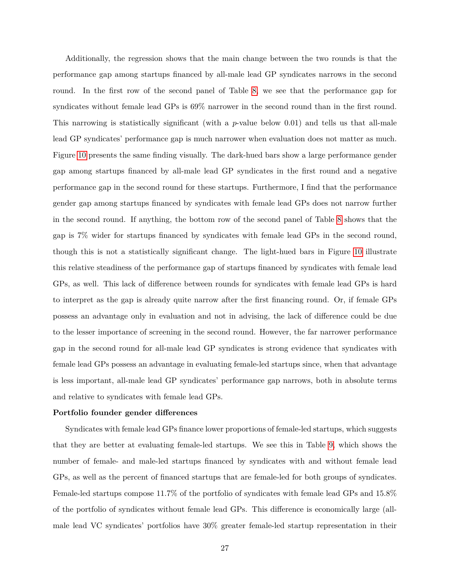Additionally, the regression shows that the main change between the two rounds is that the performance gap among startups financed by all-male lead GP syndicates narrows in the second round. In the first row of the second panel of Table [8,](#page-41-0) we see that the performance gap for syndicates without female lead GPs is 69% narrower in the second round than in the first round. This narrowing is statistically significant (with a *p*-value below 0.01) and tells us that all-male lead GP syndicates' performance gap is much narrower when evaluation does not matter as much. Figure [10](#page-54-0) presents the same finding visually. The dark-hued bars show a large performance gender gap among startups financed by all-male lead GP syndicates in the first round and a negative performance gap in the second round for these startups. Furthermore, I find that the performance gender gap among startups financed by syndicates with female lead GPs does not narrow further in the second round. If anything, the bottom row of the second panel of Table [8](#page-41-0) shows that the gap is 7% wider for startups financed by syndicates with female lead GPs in the second round, though this is not a statistically significant change. The light-hued bars in Figure [10](#page-54-0) illustrate this relative steadiness of the performance gap of startups financed by syndicates with female lead GPs, as well. This lack of difference between rounds for syndicates with female lead GPs is hard to interpret as the gap is already quite narrow after the first financing round. Or, if female GPs possess an advantage only in evaluation and not in advising, the lack of difference could be due to the lesser importance of screening in the second round. However, the far narrower performance gap in the second round for all-male lead GP syndicates is strong evidence that syndicates with female lead GPs possess an advantage in evaluating female-led startups since, when that advantage is less important, all-male lead GP syndicates' performance gap narrows, both in absolute terms and relative to syndicates with female lead GPs.

#### **Portfolio founder gender differences**

Syndicates with female lead GPs finance lower proportions of female-led startups, which suggests that they are better at evaluating female-led startups. We see this in Table [9,](#page-42-0) which shows the number of female- and male-led startups financed by syndicates with and without female lead GPs, as well as the percent of financed startups that are female-led for both groups of syndicates. Female-led startups compose 11.7% of the portfolio of syndicates with female lead GPs and 15.8% of the portfolio of syndicates without female lead GPs. This difference is economically large (allmale lead VC syndicates' portfolios have 30% greater female-led startup representation in their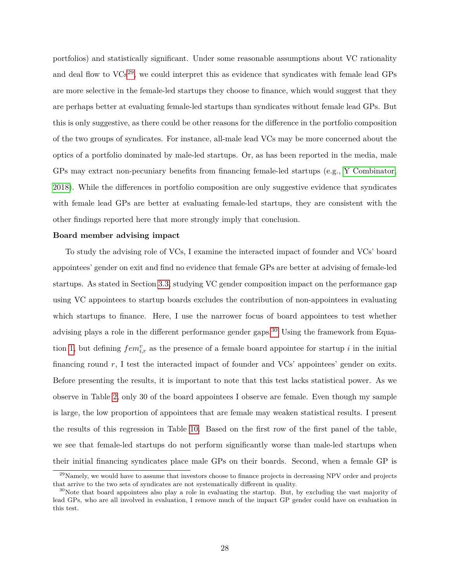portfolios) and statistically significant. Under some reasonable assumptions about VC rationality and deal flow to  $\text{VCs}^{29}$  $\text{VCs}^{29}$  $\text{VCs}^{29}$ , we could interpret this as evidence that syndicates with female lead GPs are more selective in the female-led startups they choose to finance, which would suggest that they are perhaps better at evaluating female-led startups than syndicates without female lead GPs. But this is only suggestive, as there could be other reasons for the difference in the portfolio composition of the two groups of syndicates. For instance, all-male lead VCs may be more concerned about the optics of a portfolio dominated by male-led startups. Or, as has been reported in the media, male GPs may extract non-pecuniary benefits from financing female-led startups (e.g., [Y Combinator,](#page-35-1) [2018\)](#page-35-1). While the differences in portfolio composition are only suggestive evidence that syndicates with female lead GPs are better at evaluating female-led startups, they are consistent with the other findings reported here that more strongly imply that conclusion.

#### **Board member advising impact**

To study the advising role of VCs, I examine the interacted impact of founder and VCs' board appointees' gender on exit and find no evidence that female GPs are better at advising of female-led startups. As stated in Section [3.3,](#page-17-0) studying VC gender composition impact on the performance gap using VC appointees to startup boards excludes the contribution of non-appointees in evaluating which startups to finance. Here, I use the narrower focus of board appointees to test whether advising plays a role in the different performance gender gaps.<sup>[30](#page-28-1)</sup> Using the framework from Equa-tion [1,](#page-18-1) but defining  $fem_{i,r}^v$  as the presence of a female board appointee for startup *i* in the initial financing round r, I test the interacted impact of founder and VCs' appointees' gender on exits. Before presenting the results, it is important to note that this test lacks statistical power. As we observe in Table [2,](#page-37-0) only 30 of the board appointees I observe are female. Even though my sample is large, the low proportion of appointees that are female may weaken statistical results. I present the results of this regression in Table [10.](#page-42-1) Based on the first row of the first panel of the table, we see that female-led startups do not perform significantly worse than male-led startups when their initial financing syndicates place male GPs on their boards. Second, when a female GP is

<span id="page-28-0"></span><sup>&</sup>lt;sup>29</sup>Namely, we would have to assume that investors choose to finance projects in decreasing NPV order and projects that arrive to the two sets of syndicates are not systematically different in quality.

<span id="page-28-1"></span> $30$ Note that board appointees also play a role in evaluating the startup. But, by excluding the vast majority of lead GPs, who are all involved in evaluation, I remove much of the impact GP gender could have on evaluation in this test.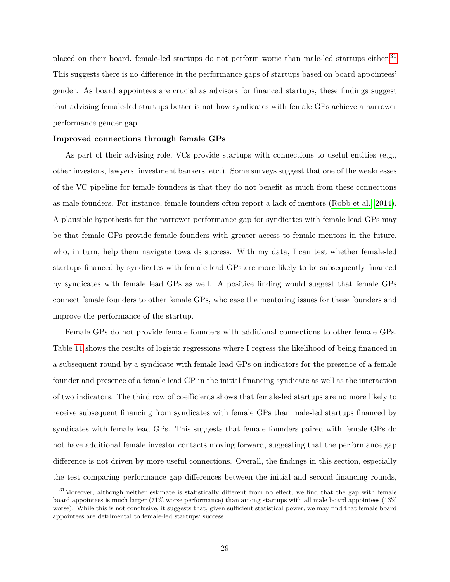placed on their board, female-led startups do not perform worse than male-led startups either.<sup>[31](#page-29-0)</sup> This suggests there is no difference in the performance gaps of startups based on board appointees' gender. As board appointees are crucial as advisors for financed startups, these findings suggest that advising female-led startups better is not how syndicates with female GPs achieve a narrower performance gender gap.

#### **Improved connections through female GPs**

As part of their advising role, VCs provide startups with connections to useful entities (e.g., other investors, lawyers, investment bankers, etc.). Some surveys suggest that one of the weaknesses of the VC pipeline for female founders is that they do not benefit as much from these connections as male founders. For instance, female founders often report a lack of mentors [\(Robb et al., 2014\)](#page-34-13). A plausible hypothesis for the narrower performance gap for syndicates with female lead GPs may be that female GPs provide female founders with greater access to female mentors in the future, who, in turn, help them navigate towards success. With my data, I can test whether female-led startups financed by syndicates with female lead GPs are more likely to be subsequently financed by syndicates with female lead GPs as well. A positive finding would suggest that female GPs connect female founders to other female GPs, who ease the mentoring issues for these founders and improve the performance of the startup.

Female GPs do not provide female founders with additional connections to other female GPs. Table [11](#page-43-0) shows the results of logistic regressions where I regress the likelihood of being financed in a subsequent round by a syndicate with female lead GPs on indicators for the presence of a female founder and presence of a female lead GP in the initial financing syndicate as well as the interaction of two indicators. The third row of coefficients shows that female-led startups are no more likely to receive subsequent financing from syndicates with female GPs than male-led startups financed by syndicates with female lead GPs. This suggests that female founders paired with female GPs do not have additional female investor contacts moving forward, suggesting that the performance gap difference is not driven by more useful connections. Overall, the findings in this section, especially the test comparing performance gap differences between the initial and second financing rounds,

<span id="page-29-0"></span><sup>31</sup>Moreover, although neither estimate is statistically different from no effect, we find that the gap with female board appointees is much larger (71% worse performance) than among startups with all male board appointees (13% worse). While this is not conclusive, it suggests that, given sufficient statistical power, we may find that female board appointees are detrimental to female-led startups' success.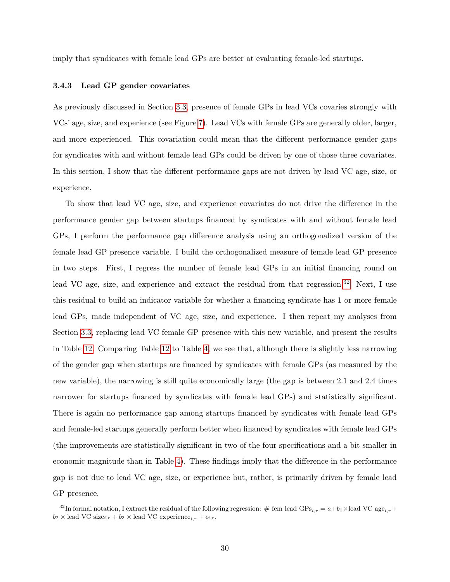imply that syndicates with female lead GPs are better at evaluating female-led startups.

## <span id="page-30-0"></span>**3.4.3 Lead GP gender covariates**

As previously discussed in Section [3.3,](#page-17-0) presence of female GPs in lead VCs covaries strongly with VCs' age, size, and experience (see Figure [7\)](#page-51-0). Lead VCs with female GPs are generally older, larger, and more experienced. This covariation could mean that the different performance gender gaps for syndicates with and without female lead GPs could be driven by one of those three covariates. In this section, I show that the different performance gaps are not driven by lead VC age, size, or experience.

To show that lead VC age, size, and experience covariates do not drive the difference in the performance gender gap between startups financed by syndicates with and without female lead GPs, I perform the performance gap difference analysis using an orthogonalized version of the female lead GP presence variable. I build the orthogonalized measure of female lead GP presence in two steps. First, I regress the number of female lead GPs in an initial financing round on lead VC age, size, and experience and extract the residual from that regression.<sup>[32](#page-30-1)</sup> Next, I use this residual to build an indicator variable for whether a financing syndicate has 1 or more female lead GPs, made independent of VC age, size, and experience. I then repeat my analyses from Section [3.3,](#page-17-0) replacing lead VC female GP presence with this new variable, and present the results in Table [12.](#page-44-0) Comparing Table [12](#page-44-0) to Table [4,](#page-38-0) we see that, although there is slightly less narrowing of the gender gap when startups are financed by syndicates with female GPs (as measured by the new variable), the narrowing is still quite economically large (the gap is between 2.1 and 2.4 times narrower for startups financed by syndicates with female lead GPs) and statistically significant. There is again no performance gap among startups financed by syndicates with female lead GPs and female-led startups generally perform better when financed by syndicates with female lead GPs (the improvements are statistically significant in two of the four specifications and a bit smaller in economic magnitude than in Table [4\)](#page-38-0). These findings imply that the difference in the performance gap is not due to lead VC age, size, or experience but, rather, is primarily driven by female lead GP presence.

<span id="page-30-1"></span><sup>&</sup>lt;sup>32</sup>In formal notation, I extract the residual of the following regression: # fem lead  $\text{GPs}_{i,r} = a + b_1 \times \text{lead } \text{VC age}_{i,r} +$  $b_2 \times$  lead VC size<sub>*i,r*</sub> +  $b_3 \times$  lead VC experience<sub>*i,r*</sub> +  $\epsilon_{i,r}$ .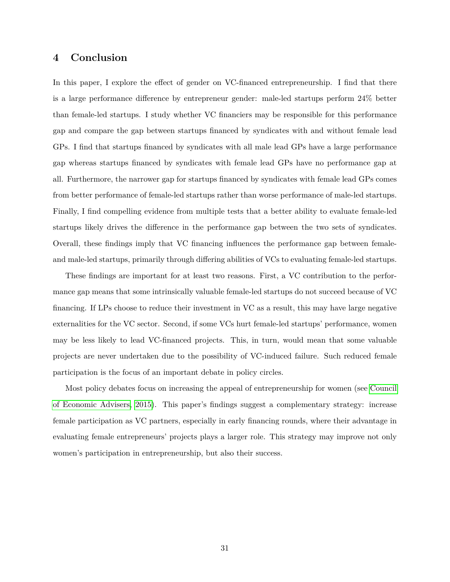# <span id="page-31-0"></span>**4 Conclusion**

In this paper, I explore the effect of gender on VC-financed entrepreneurship. I find that there is a large performance difference by entrepreneur gender: male-led startups perform 24% better than female-led startups. I study whether VC financiers may be responsible for this performance gap and compare the gap between startups financed by syndicates with and without female lead GPs. I find that startups financed by syndicates with all male lead GPs have a large performance gap whereas startups financed by syndicates with female lead GPs have no performance gap at all. Furthermore, the narrower gap for startups financed by syndicates with female lead GPs comes from better performance of female-led startups rather than worse performance of male-led startups. Finally, I find compelling evidence from multiple tests that a better ability to evaluate female-led startups likely drives the difference in the performance gap between the two sets of syndicates. Overall, these findings imply that VC financing influences the performance gap between femaleand male-led startups, primarily through differing abilities of VCs to evaluating female-led startups.

These findings are important for at least two reasons. First, a VC contribution to the performance gap means that some intrinsically valuable female-led startups do not succeed because of VC financing. If LPs choose to reduce their investment in VC as a result, this may have large negative externalities for the VC sector. Second, if some VCs hurt female-led startups' performance, women may be less likely to lead VC-financed projects. This, in turn, would mean that some valuable projects are never undertaken due to the possibility of VC-induced failure. Such reduced female participation is the focus of an important debate in policy circles.

Most policy debates focus on increasing the appeal of entrepreneurship for women (see [Council](#page-32-15) [of Economic Advisers, 2015\)](#page-32-15). This paper's findings suggest a complementary strategy: increase female participation as VC partners, especially in early financing rounds, where their advantage in evaluating female entrepreneurs' projects plays a larger role. This strategy may improve not only women's participation in entrepreneurship, but also their success.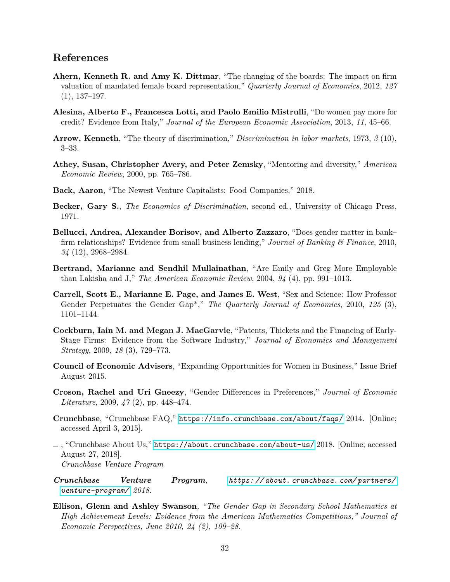# **References**

- <span id="page-32-4"></span>**Ahern, Kenneth R. and Amy K. Dittmar**, "The changing of the boards: The impact on firm valuation of mandated female board representation," *Quarterly Journal of Economics*, 2012, *127*  $(1), 137-197.$
- <span id="page-32-2"></span>**Alesina, Alberto F., Francesca Lotti, and Paolo Emilio Mistrulli**, "Do women pay more for credit? Evidence from Italy," *Journal of the European Economic Association*, 2013, *11*, 45–66.
- <span id="page-32-8"></span>**Arrow, Kenneth**, "The theory of discrimination," *Discrimination in labor markets*, 1973, *3* (10), 3–33.
- <span id="page-32-5"></span>**Athey, Susan, Christopher Avery, and Peter Zemsky**, "Mentoring and diversity," *American Economic Review*, 2000, pp. 765–786.
- <span id="page-32-12"></span>**Back, Aaron**, "The Newest Venture Capitalists: Food Companies," 2018.
- <span id="page-32-1"></span>**Becker, Gary S.**, *The Economics of Discrimination*, second ed., University of Chicago Press, 1971.
- <span id="page-32-3"></span>**Bellucci, Andrea, Alexander Borisov, and Alberto Zazzaro**, "Does gender matter in bank– firm relationships? Evidence from small business lending," *Journal of Banking & Finance*, 2010, *34* (12), 2968–2984.
- <span id="page-32-7"></span>**Bertrand, Marianne and Sendhil Mullainathan**, "Are Emily and Greg More Employable than Lakisha and J," *The American Economic Review*, 2004, *94* (4), pp. 991–1013.
- <span id="page-32-6"></span>**Carrell, Scott E., Marianne E. Page, and James E. West**, "Sex and Science: How Professor Gender Perpetuates the Gender Gap\*," *The Quarterly Journal of Economics*, 2010, *125* (3), 1101–1144.
- <span id="page-32-0"></span>**Cockburn, Iain M. and Megan J. MacGarvie**, "Patents, Thickets and the Financing of Early-Stage Firms: Evidence from the Software Industry," *Journal of Economics and Management Strategy*, 2009, *18* (3), 729–773.
- <span id="page-32-15"></span>**Council of Economic Advisers**, "Expanding Opportunities for Women in Business," Issue Brief August 2015.
- <span id="page-32-14"></span>**Croson, Rachel and Uri Gneezy**, "Gender Differences in Preferences," *Journal of Economic Literature*, 2009, *47* (2), pp. 448–474.
- <span id="page-32-10"></span>**Crunchbase**, "Crunchbase FAQ," <https://info.crunchbase.com/about/faqs/> 2014. [Online; accessed April 3, 2015].
- <span id="page-32-9"></span>, "Crunchbase About Us," <https://about.crunchbase.com/about-us/> 2018. [Online; accessed August 27, 2018]. *Crunchbase Venture Program*
- <span id="page-32-11"></span>*Crunchbase Venture Program, [https: // about. crunchbase. com/ partners/](https://about.crunchbase.com/partners/venture-program/) [venture-program/](https://about.crunchbase.com/partners/venture-program/) 2018.*
- <span id="page-32-13"></span>**Ellison, Glenn and Ashley Swanson***, "The Gender Gap in Secondary School Mathematics at High Achievement Levels: Evidence from the American Mathematics Competitions," Journal of Economic Perspectives, June 2010, 24 (2), 109–28.*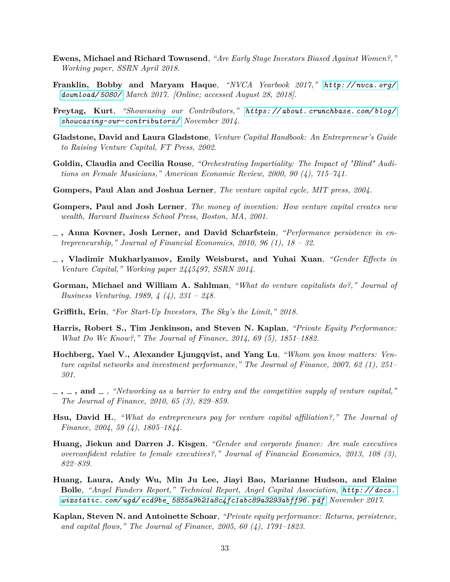- <span id="page-33-1"></span>**Ewens, Michael and Richard Townsend***, "Are Early Stage Investors Biased Against Women?," Working paper, SSRN April 2018.*
- <span id="page-33-4"></span>**Franklin, Bobby and Maryam Haque***, "NVCA Yearbook 2017," [http: // nvca. org/](http://nvca.org/download/5080/) [download/ 5080/](http://nvca.org/download/5080/) March 2017. [Online; accessed August 28, 2018].*
- <span id="page-33-16"></span>**Freytag, Kurt***, "Showcasing our Contributors," [https: // about. crunchbase. com/ blog/](https://about.crunchbase.com/blog/showcasing-our-contributors/) [showcasing-our-contributors/](https://about.crunchbase.com/blog/showcasing-our-contributors/) November 2014.*
- <span id="page-33-7"></span>**Gladstone, David and Laura Gladstone***, Venture Capital Handbook: An Entrepreneur's Guide to Raising Venture Capital, FT Press, 2002.*
- <span id="page-33-12"></span>**Goldin, Claudia and Cecilia Rouse***, "Orchestrating Impartiality: The Impact of "Blind" Auditions on Female Musicians," American Economic Review, 2000, 90 (4), 715–741.*
- <span id="page-33-14"></span>**Gompers, Paul Alan and Joshua Lerner***, The venture capital cycle, MIT press, 2004.*
- <span id="page-33-6"></span>**Gompers, Paul and Josh Lerner***, The money of invention: How venture capital creates new wealth, Harvard Business School Press, Boston, MA, 2001.*
- <span id="page-33-5"></span>**, Anna Kovner, Josh Lerner, and David Scharfstein***, "Performance persistence in entrepreneurship," Journal of Financial Economics, 2010, 96 (1), 18 – 32.*
- <span id="page-33-2"></span>**, Vladimir Mukharlyamov, Emily Weisburst, and Yuhai Xuan***, "Gender Effects in Venture Capital," Working paper 2445497, SSRN 2014.*
- <span id="page-33-13"></span>**Gorman, Michael and William A. Sahlman***, "What do venture capitalists do?," Journal of Business Venturing, 1989, 4 (4), 231 – 248.*
- <span id="page-33-17"></span>**Griffith, Erin***, "For Start-Up Investors, The Sky's the Limit," 2018.*
- <span id="page-33-15"></span>**Harris, Robert S., Tim Jenkinson, and Steven N. Kaplan***, "Private Equity Performance: What Do We Know?," The Journal of Finance, 2014, 69 (5), 1851–1882.*
- <span id="page-33-0"></span>**Hochberg, Yael V., Alexander Ljungqvist, and Yang Lu***, "Whom you know matters: Venture capital networks and investment performance," The Journal of Finance, 2007, 62 (1), 251– 301.*
- <span id="page-33-10"></span>**, , and** *, "Networking as a barrier to entry and the competitive supply of venture capital," The Journal of Finance, 2010, 65 (3), 829–859.*
- <span id="page-33-8"></span>**Hsu, David H.***, "What do entrepreneurs pay for venture capital affiliation?," The Journal of Finance, 2004, 59 (4), 1805–1844.*
- <span id="page-33-11"></span>**Huang, Jiekun and Darren J. Kisgen***, "Gender and corporate finance: Are male executives overconfident relative to female executives?," Journal of Financial Economics, 2013, 108 (3), 822–839.*
- <span id="page-33-3"></span>**Huang, Laura, Andy Wu, Min Ju Lee, Jiayi Bao, Marianne Hudson, and Elaine Bolle***, "Angel Funders Report," Technical Report, Angel Capital Association, [http: // docs.](http://docs.wixstatic.com/ugd/ecd9be_5855a9b21a8c4fc1abc89a3293abff96.pdf) [wixstatic. com/ ugd/ ecd9be\\_ 5855a9b21a8c4fc1abc89a3293abff96. pdf](http://docs.wixstatic.com/ugd/ecd9be_5855a9b21a8c4fc1abc89a3293abff96.pdf) November 2017.*
- <span id="page-33-9"></span>**Kaplan, Steven N. and Antoinette Schoar***, "Private equity performance: Returns, persistence, and capital flows," The Journal of Finance, 2005, 60 (4), 1791–1823.*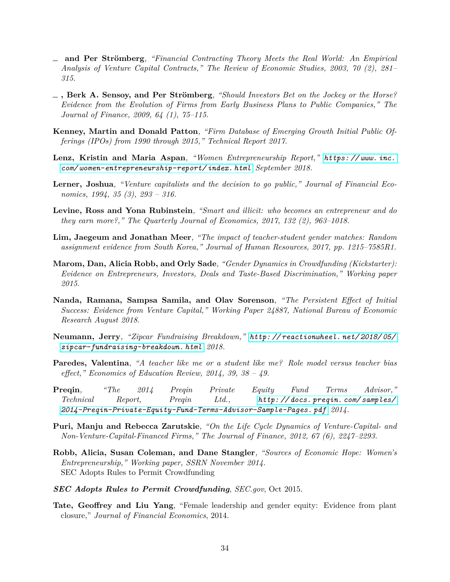- <span id="page-34-9"></span>**and Per Strömberg***, "Financial Contracting Theory Meets the Real World: An Empirical Analysis of Venture Capital Contracts," The Review of Economic Studies, 2003, 70 (2), 281– 315.*
- <span id="page-34-4"></span>**, Berk A. Sensoy, and Per Strömberg***, "Should Investors Bet on the Jockey or the Horse? Evidence from the Evolution of Firms from Early Business Plans to Public Companies," The Journal of Finance, 2009, 64 (1), 75–115.*
- <span id="page-34-14"></span>**Kenney, Martin and Donald Patton***, "Firm Database of Emerging Growth Initial Public Offerings (IPOs) from 1990 through 2015," Technical Report 2017.*
- <span id="page-34-0"></span>**Lenz, Kristin and Maria Aspan***, "Women Entrepreneurship Report," [https: // www. inc.](https://www.inc.com/women-entrepreneurship-report/index.html) [com/ women-entrepreneurship-report/ index. html](https://www.inc.com/women-entrepreneurship-report/index.html) September 2018.*
- <span id="page-34-3"></span>**Lerner, Joshua***, "Venture capitalists and the decision to go public," Journal of Financial Economics, 1994, 35 (3), 293 – 316.*
- <span id="page-34-5"></span>**Levine, Ross and Yona Rubinstein***, "Smart and illicit: who becomes an entrepreneur and do they earn more?," The Quarterly Journal of Economics, 2017, 132 (2), 963–1018.*
- <span id="page-34-7"></span>**Lim, Jaegeum and Jonathan Meer***, "The impact of teacher-student gender matches: Random assignment evidence from South Korea," Journal of Human Resources, 2017, pp. 1215–7585R1.*
- <span id="page-34-2"></span>**Marom, Dan, Alicia Robb, and Orly Sade***, "Gender Dynamics in Crowdfunding (Kickstarter): Evidence on Entrepreneurs, Investors, Deals and Taste-Based Discrimination," Working paper 2015.*
- <span id="page-34-12"></span>**Nanda, Ramana, Sampsa Samila, and Olav Sorenson***, "The Persistent Effect of Initial Success: Evidence from Venture Capital," Working Paper 24887, National Bureau of Economic Research August 2018.*
- <span id="page-34-10"></span>**Neumann, Jerry***, "Zipcar Fundraising Breakdown," [http: // reactionwheel. net/ 2018/ 05/](http://reactionwheel.net/2018/05/zipcar-fundraising-breakdown.html) [zipcar-fundraising-breakdown. html](http://reactionwheel.net/2018/05/zipcar-fundraising-breakdown.html) 2018.*
- <span id="page-34-8"></span>**Paredes, Valentina***, "A teacher like me or a student like me? Role model versus teacher bias effect," Economics of Education Review, 2014, 39, 38 – 49.*
- **Preqin***, "The 2014 Preqin Private Equity Fund Terms Advisor," Technical Report, Preqin Ltd., [http: // docs. preqin. com/ samples/](http://docs.preqin.com/samples/2014-Preqin-Private-Equity-Fund-Terms-Advisor-Sample-Pages.pdf) [2014-Preqin-Private-Equity-Fund-Terms-Advisor-Sample-Pages. pdf](http://docs.preqin.com/samples/2014-Preqin-Private-Equity-Fund-Terms-Advisor-Sample-Pages.pdf) 2014.*
- <span id="page-34-1"></span>**Puri, Manju and Rebecca Zarutskie***, "On the Life Cycle Dynamics of Venture-Capital- and Non-Venture-Capital-Financed Firms," The Journal of Finance, 2012, 67 (6), 2247–2293.*
- <span id="page-34-13"></span>**Robb, Alicia, Susan Coleman, and Dane Stangler***, "Sources of Economic Hope: Women's Entrepreneurship," Working paper, SSRN November 2014.* SEC Adopts Rules to Permit Crowdfunding
- <span id="page-34-11"></span>*SEC Adopts Rules to Permit Crowdfunding*, *SEC.gov*, Oct 2015.
- <span id="page-34-6"></span>**Tate, Geoffrey and Liu Yang**, "Female leadership and gender equity: Evidence from plant closure," *Journal of Financial Economics*, 2014.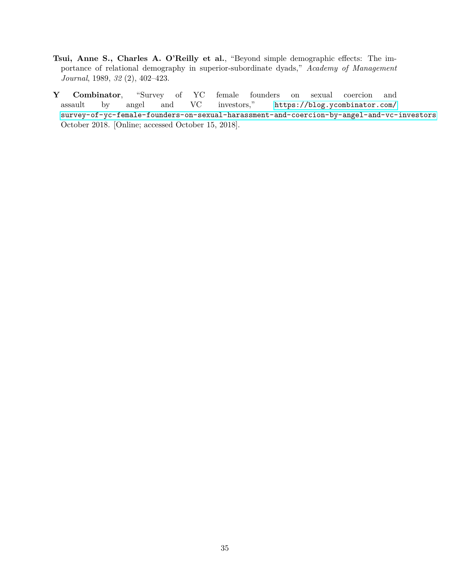- <span id="page-35-0"></span>**Tsui, Anne S., Charles A. O'Reilly et al.**, "Beyond simple demographic effects: The importance of relational demography in superior-subordinate dyads," *Academy of Management Journal*, 1989, *32* (2), 402–423.
- <span id="page-35-1"></span>**Y Combinator**, "Survey of YC female founders on sexual coercion and assault by angel and VC investors," [https://blog.ycombinator.com/](https://blog.ycombinator.com/survey-of-yc-female-founders-on-sexual-harassment-and-coercion-by-angel-and-vc-investors) [survey-of-yc-female-founders-on-sexual-harassment-and-coercion-by-angel-and-vc-investors](https://blog.ycombinator.com/survey-of-yc-female-founders-on-sexual-harassment-and-coercion-by-angel-and-vc-investors) October 2018. [Online; accessed October 15, 2018].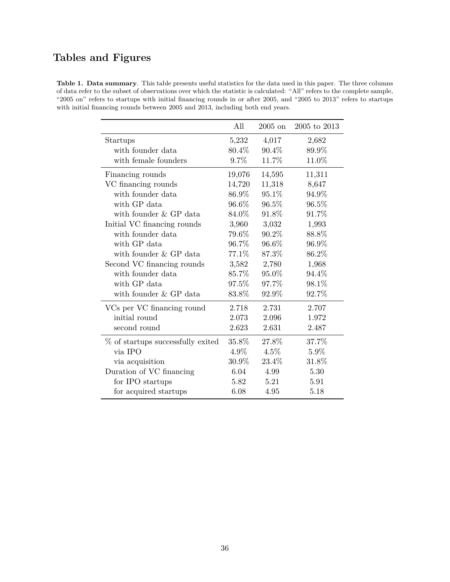# **Tables and Figures**

<span id="page-36-0"></span>

| <b>Table 1. Data summary.</b> This table presents useful statistics for the data used in this paper. The three columns   |
|--------------------------------------------------------------------------------------------------------------------------|
| of data refer to the subset of observations over which the statistic is calculated: "All" refers to the complete sample, |
| "2005 on" refers to startups with initial financing rounds in or after 2005, and "2005 to 2013" refers to startups       |
| with initial financing rounds between 2005 and 2013, including both end years.                                           |

|                                   | All    | $2005$ on | 2005 to 2013 |
|-----------------------------------|--------|-----------|--------------|
| Startups                          | 5,232  | 4,017     | 2,682        |
| with founder data                 | 80.4%  | 90.4%     | 89.9%        |
| with female founders              | 9.7%   | 11.7%     | 11.0%        |
| Financing rounds                  | 19,076 | 14,595    | 11,311       |
| VC financing rounds               | 14,720 | 11,318    | 8,647        |
| with founder data                 | 86.9%  | 95.1%     | 94.9%        |
| with GP data                      | 96.6%  | 96.5%     | 96.5%        |
| with founder & GP data            | 84.0%  | 91.8%     | 91.7%        |
| Initial VC financing rounds       | 3,960  | 3,032     | 1,993        |
| with founder data                 | 79.6%  | 90.2%     | 88.8%        |
| with GP data                      | 96.7%  | 96.6%     | 96.9%        |
| with founder & GP data            | 77.1%  | 87.3%     | 86.2%        |
| Second VC financing rounds        | 3,582  | 2,780     | 1,968        |
| with founder data                 | 85.7%  | 95.0%     | 94.4%        |
| with GP data                      | 97.5%  | 97.7%     | 98.1%        |
| with founder & GP data            | 83.8%  | 92.9%     | 92.7%        |
| VCs per VC financing round        | 2.718  | 2.731     | 2.707        |
| initial round                     | 2.073  | 2.096     | 1.972        |
| second round                      | 2.623  | 2.631     | 2.487        |
| % of startups successfully exited | 35.8%  | 27.8%     | 37.7%        |
| via IPO                           | 4.9%   | $4.5\%$   | 5.9%         |
| via acquisition                   | 30.9%  | 23.4%     | 31.8%        |
| Duration of VC financing          | 6.04   | 4.99      | 5.30         |
| for IPO startups                  | 5.82   | 5.21      | 5.91         |
| for acquired startups             | 6.08   | 4.95      | 5.18         |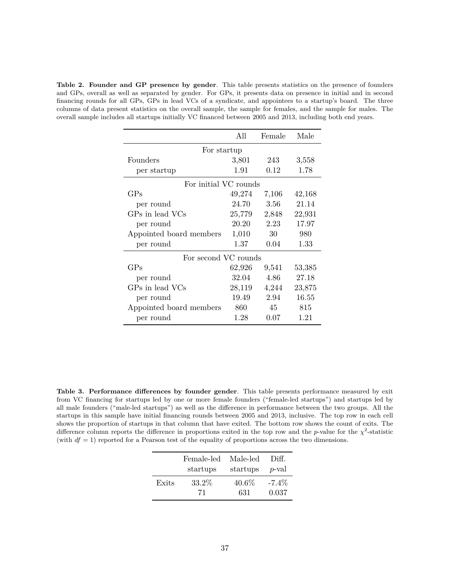<span id="page-37-0"></span>**Table 2. Founder and GP presence by gender**. This table presents statistics on the presence of founders and GPs, overall as well as separated by gender. For GPs, it presents data on presence in initial and in second financing rounds for all GPs, GPs in lead VCs of a syndicate, and appointees to a startup's board. The three columns of data present statistics on the overall sample, the sample for females, and the sample for males. The overall sample includes all startups initially VC financed between 2005 and 2013, including both end years.

|                         | All    | Female | Male   |
|-------------------------|--------|--------|--------|
| For startup             |        |        |        |
| Founders                | 3,801  | 243    | 3,558  |
| per startup             | 1.91   | 0.12   | 1.78   |
| For initial VC rounds   |        |        |        |
| GP <sub>S</sub>         | 49,274 | 7,106  | 42,168 |
| per round               | 24.70  | 3.56   | 21.14  |
| GPs in lead VCs         | 25,779 | 2,848  | 22,931 |
| per round               | 20.20  | 2.23   | 17.97  |
| Appointed board members | 1,010  | 30     | 980    |
| per round               | 1.37   | 0.04   | 1.33   |
| For second VC rounds    |        |        |        |
| GPs                     | 62,926 | 9,541  | 53,385 |
| per round               | 32.04  | 4.86   | 27.18  |
| GPs in lead VCs         | 28,119 | 4,244  | 23,875 |
| per round               | 19.49  | 2.94   | 16.55  |
| Appointed board members | 860    | 45     | 815    |
| per round               | 1.28   | 0.07   | 1.21   |

<span id="page-37-1"></span>**Table 3. Performance differences by founder gender**. This table presents performance measured by exit from VC financing for startups led by one or more female founders ("female-led startups") and startups led by all male founders ("male-led startups") as well as the difference in performance between the two groups. All the startups in this sample have initial financing rounds between 2005 and 2013, inclusive. The top row in each cell shows the proportion of startups in that column that have exited. The bottom row shows the count of exits. The difference column reports the difference in proportions exited in the top row and the *p*-value for the  $\chi^2$ -statistic (with  $df = 1$ ) reported for a Pearson test of the equality of proportions across the two dimensions.

|       | Female-led | Male-led | Diff.    |
|-------|------------|----------|----------|
|       | startups   | startups | $p$ -val |
| Exits | 33.2%      | 40.6%    | $-7.4\%$ |
|       | 71         | 631      | 0.037    |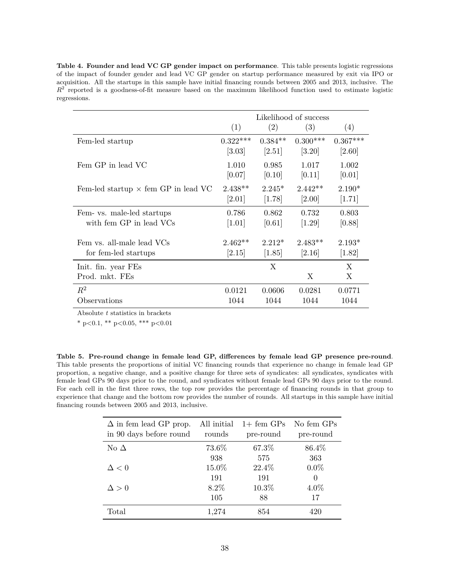<span id="page-38-0"></span>**Table 4. Founder and lead VC GP gender impact on performance**. This table presents logistic regressions of the impact of founder gender and lead VC GP gender on startup performance measured by exit via IPO or acquisition. All the startups in this sample have initial financing rounds between 2005 and 2013, inclusive. The  $R<sup>2</sup>$  reported is a goodness-of-fit measure based on the maximum likelihood function used to estimate logistic regressions.

|                                            | Likelihood of success |           |            |            |
|--------------------------------------------|-----------------------|-----------|------------|------------|
|                                            | (1)                   | (2)       | (3)        | (4)        |
| Fem-led startup                            | $0.322***$            | $0.384**$ | $0.300***$ | $0.367***$ |
|                                            | $[3.03]$              | [2.51]    | [3.20]     | $[2.60]$   |
| Fem GP in lead VC                          | 1.010                 | 0.985     | 1.017      | 1.002      |
|                                            | [0.07]                | [0.10]    | [0.11]     | [0.01]     |
| Fem-led startup $\times$ fem GP in lead VC | $2.438**$             | $2.245*$  | $2.442**$  | $2.190*$   |
|                                            | $[2.01]$              | [1.78]    | $[2.00]$   | [1.71]     |
| Fem- vs. male-led startups                 | 0.786                 | 0.862     | 0.732      | 0.803      |
| with fem GP in lead VCs                    | [1.01]                | [0.61]    | [1.29]     | [0.88]     |
| Fem vs. all-male lead VCs                  | $2.462**$             | $2.212*$  | $2.483**$  | $2.193*$   |
| for fem-led startups                       | [2.15]                | [1.85]    | $[2.16]$   | $[1.82]$   |
| Init. fin. year FEs<br>Prod. mkt. FEs      |                       | X         | X          | X<br>X     |
| $R^2$                                      | 0.0121                | 0.0606    | 0.0281     | 0.0771     |
| Observations                               | 1044                  | 1044      | 1044       | 1044       |

Absolute *t* statistics in brackets

<span id="page-38-1"></span>**Table 5. Pre-round change in female lead GP, differences by female lead GP presence pre-round**. This table presents the proportions of initial VC financing rounds that experience no change in female lead GP proportion, a negative change, and a positive change for three sets of syndicates: all syndicates, syndicates with female lead GPs 90 days prior to the round, and syndicates without female lead GPs 90 days prior to the round. For each cell in the first three rows, the top row provides the percentage of financing rounds in that group to experience that change and the bottom row provides the number of rounds. All startups in this sample have initial financing rounds between 2005 and 2013, inclusive.

| $\Delta$ in fem lead GP prop.<br>in 90 days before round | All initial<br>rounds | $1+$ fem $\text{GPs}$<br>pre-round | No fem GPs<br>pre-round |
|----------------------------------------------------------|-----------------------|------------------------------------|-------------------------|
| No $\Delta$                                              | 73.6%                 | 67.3%                              | 86.4%                   |
|                                                          | 938                   | 575                                | 363                     |
| $\Delta < 0$                                             | 15.0%                 | 22.4%                              | $0.0\%$                 |
|                                                          | 191                   | 191                                | 0                       |
| $\Delta > 0$                                             | 8.2\%                 | 10.3%                              | 4.0%                    |
|                                                          | 105                   | 88                                 | 17                      |
| Total                                                    | 1,274                 | 854                                | 420                     |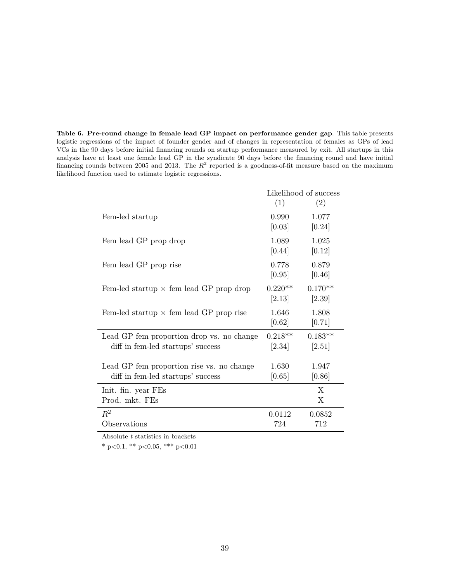<span id="page-39-0"></span>**Table 6. Pre-round change in female lead GP impact on performance gender gap**. This table presents logistic regressions of the impact of founder gender and of changes in representation of females as GPs of lead VCs in the 90 days before initial financing rounds on startup performance measured by exit. All startups in this analysis have at least one female lead GP in the syndicate 90 days before the financing round and have initial financing rounds between 2005 and 2013. The  $R^2$  reported is a goodness-of-fit measure based on the maximum likelihood function used to estimate logistic regressions.

|                                                | Likelihood of success |           |
|------------------------------------------------|-----------------------|-----------|
|                                                | (1)                   | (2)       |
| Fem-led startup                                | 0.990                 | 1.077     |
|                                                | [0.03]                | [0.24]    |
| Fem lead GP prop drop                          | 1.089                 | 1.025     |
|                                                | [0.44]                | [0.12]    |
| Fem lead GP prop rise                          | 0.778                 | 0.879     |
|                                                | [0.95]                | [0.46]    |
| Fem-led startup $\times$ fem lead GP prop drop | $0.220**$             | $0.170**$ |
|                                                | $[2.13]$              | $[2.39]$  |
| Fem-led startup $\times$ fem lead GP prop rise | 1.646                 | 1.808     |
|                                                | [0.62]                | [0.71]    |
| Lead GP fem proportion drop vs. no change      | $0.218**$             | $0.183**$ |
| diff in fem-led startups' success              | [2.34]                | $[2.51]$  |
|                                                |                       |           |
| Lead GP fem proportion rise vs. no change      | 1.630                 | 1.947     |
| diff in fem-led startups' success              | [0.65]                | [0.86]    |
| Init. fin. year FEs                            |                       | X         |
| Prod. mkt. FEs                                 |                       | X         |
| $R^2$                                          | 0.0112                | 0.0852    |
| Observations                                   | 724                   | 712       |

Absolute *t* statistics in brackets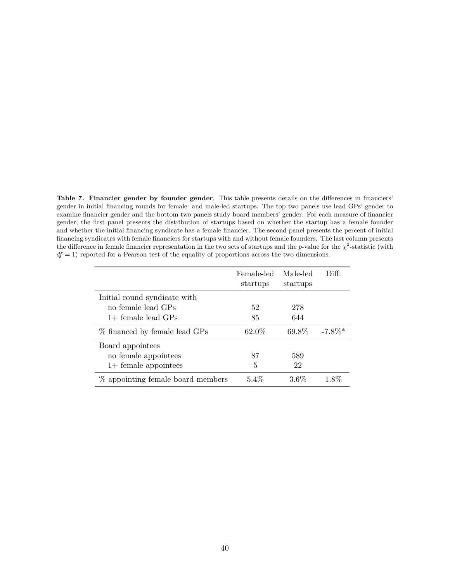<span id="page-40-0"></span>**Table 7. Financier gender by founder gender**. This table presents details on the differences in financiers' gender in initial financing rounds for female- and male-led startups. The top two panels use lead GPs' gender to examine financier gender and the bottom two panels study board members' gender. For each measure of financier gender, the first panel presents the distribution of startups based on whether the startup has a female founder and whether the initial financing syndicate has a female financier. The second panel presents the percent of initial financing syndicates with female financiers for startups with and without female founders. The last column presents the difference in female financier representation in the two sets of startups and the *p*-value for the  $\chi^2$ -statistic (with *df* = 1) reported for a Pearson test of the equality of proportions across the two dimensions.

|                                   | Female-led<br>startups | Male-led<br>startups | Diff.     |
|-----------------------------------|------------------------|----------------------|-----------|
| Initial round syndicate with      |                        |                      |           |
| no female lead GPs                | 52                     | 278                  |           |
| $1+$ female lead GPs              | 85                     | 644                  |           |
| % financed by female lead GPs     | 62.0%                  | 69.8%                | $-7.8\%*$ |
| Board appointees                  |                        |                      |           |
| no female appointees              | 87                     | 589                  |           |
| $1+$ female appointees            | 5                      | 22                   |           |
| % appointing female board members | 5.4%                   | $3.6\%$              | 1.8%      |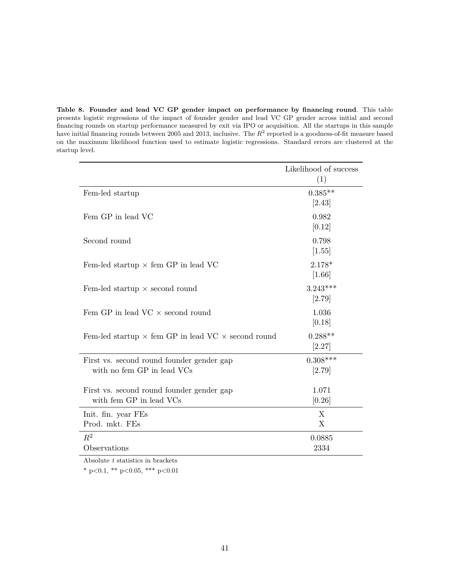<span id="page-41-0"></span>**Table 8. Founder and lead VC GP gender impact on performance by financing round**. This table presents logistic regressions of the impact of founder gender and lead VC GP gender across initial and second financing rounds on startup performance measured by exit via IPO or acquisition. All the startups in this sample have initial financing rounds between 2005 and 2013, inclusive. The  $R^2$  reported is a goodness-of-fit measure based on the maximum likelihood function used to estimate logistic regressions. Standard errors are clustered at the startup level.

|                                                                         | Likelihood of success<br>(1) |
|-------------------------------------------------------------------------|------------------------------|
| Fem-led startup                                                         | $0.385**$<br>[2.43]          |
| Fem GP in lead VC                                                       | 0.982<br>[0.12]              |
| Second round                                                            | 0.798<br>$[1.55]$            |
| Fem-led startup $\times$ fem GP in lead VC                              | $2.178*$<br>$[1.66]$         |
| Fem-led startup $\times$ second round                                   | $3.243***$<br>$[2.79]$       |
| Fem GP in lead $VC \times$ second round                                 | 1.036<br>[0.18]              |
| Fem-led startup $\times$ fem GP in lead VC $\times$ second round        | $0.288**$<br>[2.27]          |
| First vs. second round founder gender gap<br>with no fem GP in lead VCs | $0.308***$<br>[2.79]         |
| First vs. second round founder gender gap<br>with fem GP in lead VCs    | 1.071<br>[0.26]              |
| Init. fin. year FEs<br>Prod. mkt. FEs                                   | X<br>X                       |
| $R^2$<br>Observations                                                   | 0.0885<br>2334               |

Absolute *t* statistics in brackets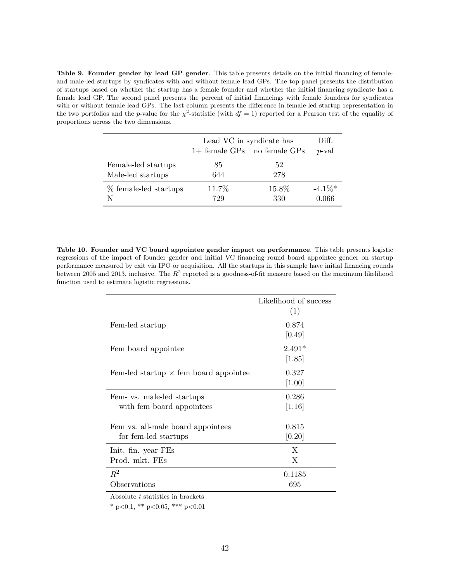<span id="page-42-0"></span>**Table 9. Founder gender by lead GP gender**. This table presents details on the initial financing of femaleand male-led startups by syndicates with and without female lead GPs. The top panel presents the distribution of startups based on whether the startup has a female founder and whether the initial financing syndicate has a female lead GP. The second panel presents the percent of initial financings with female founders for syndicates with or without female lead GPs. The last column presents the difference in female-led startup representation in the two portfolios and the *p*-value for the  $\chi^2$ -statistic (with  $df = 1$ ) reported for a Pearson test of the equality of proportions across the two dimensions.

|                       | Lead VC in syndicate has<br>$1+$ female GPs no female GPs | Diff.<br>p-val |           |
|-----------------------|-----------------------------------------------------------|----------------|-----------|
| Female-led startups   | 85                                                        | 52             |           |
| Male-led startups     | 644                                                       | 278            |           |
| % female-led startups | 11.7%                                                     | 15.8%          | $-4.1\%*$ |
| N                     | 729                                                       | 330            | 0.066     |

<span id="page-42-1"></span>**Table 10. Founder and VC board appointee gender impact on performance**. This table presents logistic regressions of the impact of founder gender and initial VC financing round board appointee gender on startup performance measured by exit via IPO or acquisition. All the startups in this sample have initial financing rounds between 2005 and 2013, inclusive. The  $R^2$  reported is a goodness-of-fit measure based on the maximum likelihood function used to estimate logistic regressions.

|                                              | Likelihood of success<br>(1) |
|----------------------------------------------|------------------------------|
| Fem-led startup                              | 0.874<br>[0.49]              |
| Fem board appointee                          | $2.491*$<br>[1.85]           |
| Fem-led startup $\times$ fem board appointee | 0.327<br>[1.00]              |
| Fem- vs. male-led startups                   | 0.286                        |
| with fem board appointees                    | $[1.16]$                     |
| Fem vs. all-male board appointees            | 0.815                        |
| for fem-led startups                         | [0.20]                       |
| Init. fin. year FEs                          | X                            |
| Prod. mkt. FEs                               | X                            |
| $R^2$                                        | 0.1185                       |
| Observations                                 | 695                          |

Absolute *t* statistics in brackets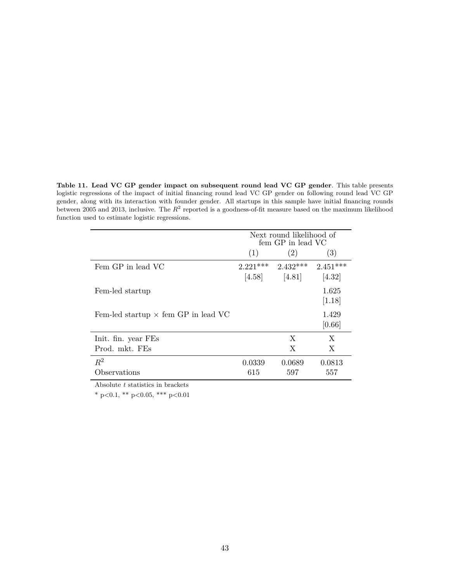<span id="page-43-0"></span>**Table 11. Lead VC GP gender impact on subsequent round lead VC GP gender**. This table presents logistic regressions of the impact of initial financing round lead VC GP gender on following round lead VC GP gender, along with its interaction with founder gender. All startups in this sample have initial financing rounds between 2005 and 2013, inclusive. The  $R^2$  reported is a goodness-of-fit measure based on the maximum likelihood function used to estimate logistic regressions.

|                                            | Next round likelihood of<br>fem GP in lead VC |                      |                      |
|--------------------------------------------|-----------------------------------------------|----------------------|----------------------|
|                                            | (1)                                           | (2)                  | (3)                  |
| Fem GP in lead VC                          | $2.221***$<br>[4.58]                          | $2.432***$<br>[4.81] | $2.451***$<br>[4.32] |
| Fem-led startup                            |                                               |                      | 1.625<br>[1.18]      |
| Fem-led startup $\times$ fem GP in lead VC |                                               |                      | 1.429<br>[0.66]      |
| Init. fin. year FEs                        |                                               | X                    | X                    |
| Prod. mkt. FEs                             |                                               | X                    | X                    |
| $R^2$<br>Observations                      | 0.0339<br>615                                 | 0.0689<br>597        | 0.0813<br>557        |

Absolute *t* statistics in brackets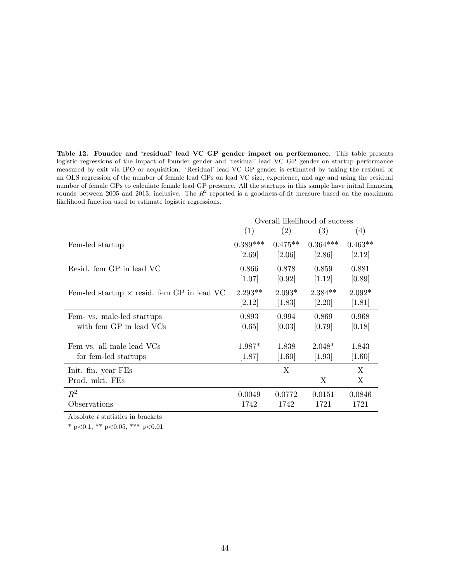<span id="page-44-0"></span>**Table 12. Founder and 'residual' lead VC GP gender impact on performance**. This table presents logistic regressions of the impact of founder gender and 'residual' lead VC GP gender on startup performance measured by exit via IPO or acquisition. 'Residual' lead VC GP gender is estimated by taking the residual of an OLS regression of the number of female lead GPs on lead VC size, experience, and age and using the residual number of female GPs to calculate female lead GP presence. All the startups in this sample have initial financing rounds between 2005 and 2013, inclusive. The  $R^2$  reported is a goodness-of-fit measure based on the maximum likelihood function used to estimate logistic regressions.

|                                                   | Overall likelihood of success |           |            |           |
|---------------------------------------------------|-------------------------------|-----------|------------|-----------|
|                                                   | (1)                           | (2)       | (3)        | (4)       |
| Fem-led startup                                   | $0.389***$                    | $0.475**$ | $0.364***$ | $0.463**$ |
|                                                   | [2.69]                        | [2.06]    | $[2.86]$   | [2.12]    |
| Resid. fem GP in lead VC                          | 0.866                         | 0.878     | 0.859      | 0.881     |
|                                                   | [1.07]                        | [0.92]    | [1.12]     | [0.89]    |
| Fem-led startup $\times$ resid. fem GP in lead VC | $2.293**$                     | $2.093*$  | $2.384**$  | $2.092*$  |
|                                                   | [2.12]                        | [1.83]    | $[2.20]$   | $[1.81]$  |
| Fem- vs. male-led startups                        | 0.893                         | 0.994     | 0.869      | 0.968     |
| with fem GP in lead VCs                           | [0.65]                        | [0.03]    | [0.79]     | [0.18]    |
| Fem vs. all-male lead VCs                         | 1.987*                        | 1.838     | $2.048*$   | 1.843     |
| for fem-led startups                              | [1.87]                        | [1.60]    | $[1.93]$   | [1.60]    |
| Init. fin. year FEs<br>Prod. mkt. FEs             |                               | X         | Χ          | X<br>X    |
| $R^2$                                             | 0.0049                        | 0.0772    | 0.0151     | 0.0846    |
| Observations                                      | 1742                          | 1742      | 1721       | 1721      |

Absolute *t* statistics in brackets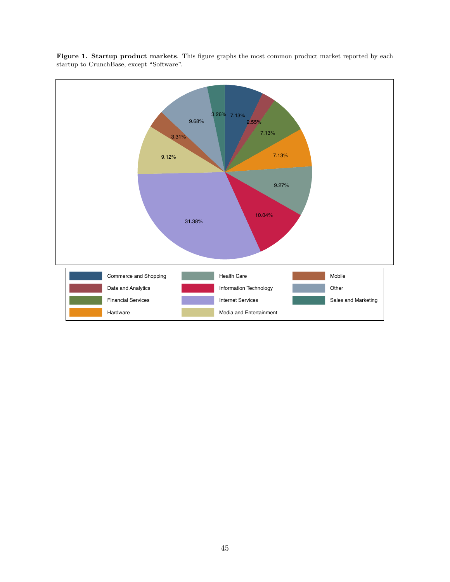

<span id="page-45-0"></span>**Figure 1. Startup product markets**. This figure graphs the most common product market reported by each startup to CrunchBase, except "Software".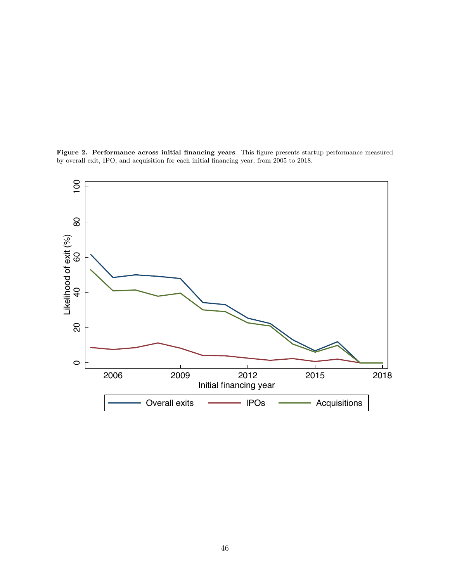<span id="page-46-0"></span>

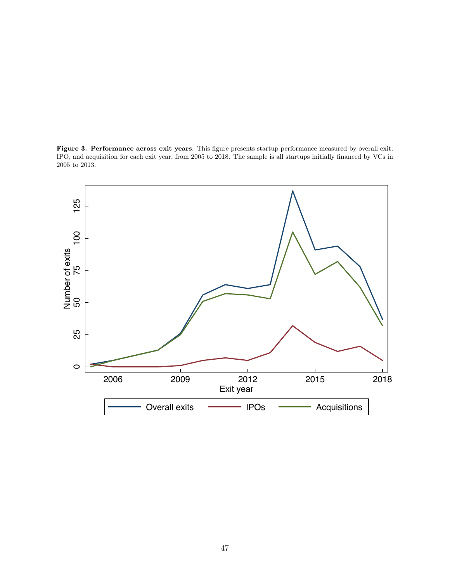<span id="page-47-0"></span>**Figure 3. Performance across exit years**. This figure presents startup performance measured by overall exit, IPO, and acquisition for each exit year, from 2005 to 2018. The sample is all startups initially financed by VCs in 2005 to 2013.

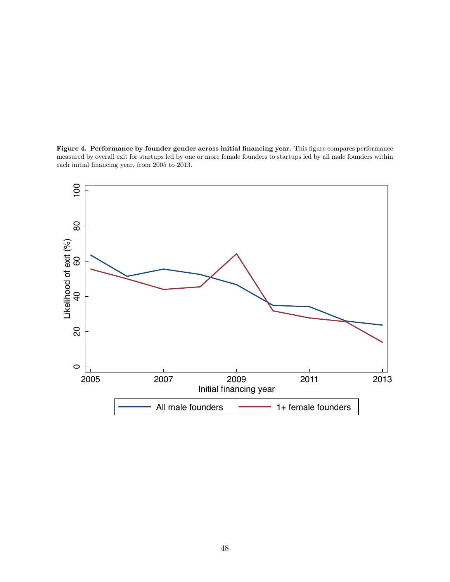<span id="page-48-0"></span>**Figure 4. Performance by founder gender across initial financing year**. This figure compares performance measured by overall exit for startups led by one or more female founders to startups led by all male founders within each initial financing year, from 2005 to 2013.

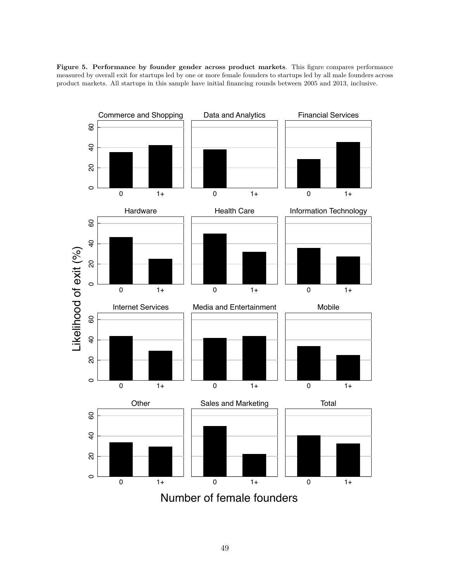<span id="page-49-0"></span>**Figure 5. Performance by founder gender across product markets**. This figure compares performance measured by overall exit for startups led by one or more female founders to startups led by all male founders across product markets. All startups in this sample have initial financing rounds between 2005 and 2013, inclusive.

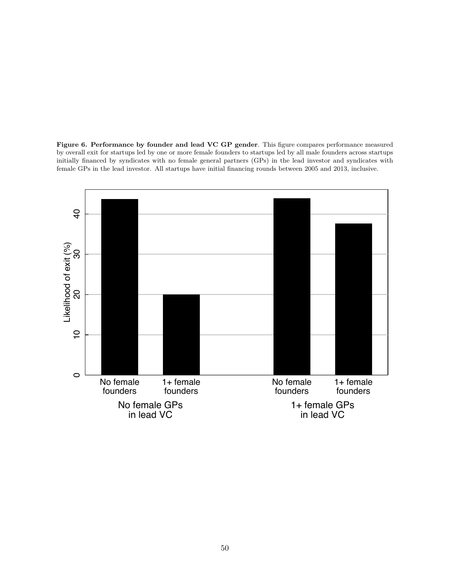<span id="page-50-0"></span>**Figure 6. Performance by founder and lead VC GP gender**. This figure compares performance measured by overall exit for startups led by one or more female founders to startups led by all male founders across startups initially financed by syndicates with no female general partners (GPs) in the lead investor and syndicates with female GPs in the lead investor. All startups have initial financing rounds between 2005 and 2013, inclusive.

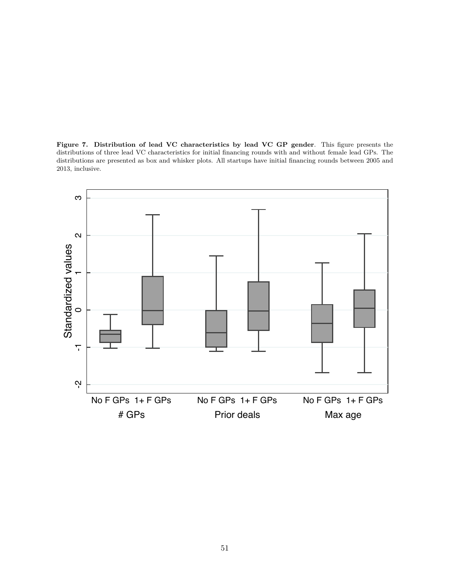<span id="page-51-0"></span>**Figure 7. Distribution of lead VC characteristics by lead VC GP gender**. This figure presents the distributions of three lead VC characteristics for initial financing rounds with and without female lead GPs. The distributions are presented as box and whisker plots. All startups have initial financing rounds between 2005 and 2013, inclusive.

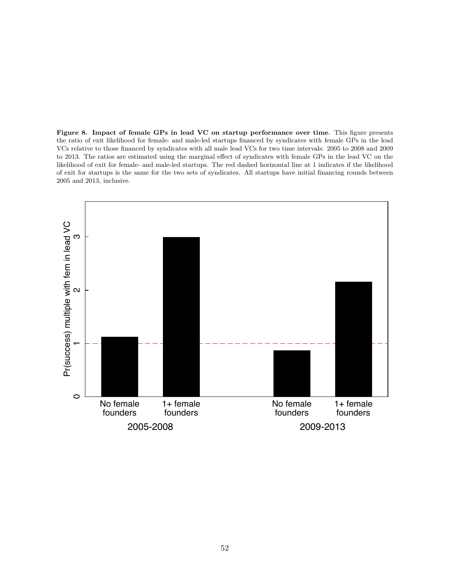<span id="page-52-0"></span>**Figure 8. Impact of female GPs in lead VC on startup performance over time**. This figure presents the ratio of exit likelihood for female- and male-led startups financed by syndicates with female GPs in the lead VCs relative to those financed by syndicates with all male lead VCs for two time intervals: 2005 to 2008 and 2009 to 2013. The ratios are estimated using the marginal effect of syndicates with female GPs in the lead VC on the likelihood of exit for female- and male-led startups. The red dashed horizontal line at 1 indicates if the likelihood of exit for startups is the same for the two sets of syndicates. All startups have initial financing rounds between 2005 and 2013, inclusive.

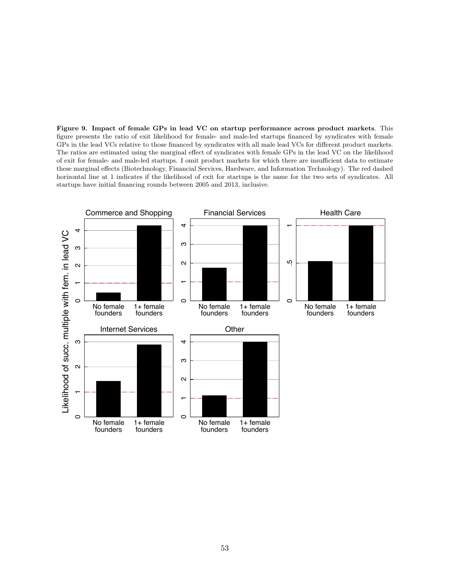<span id="page-53-0"></span>**Figure 9. Impact of female GPs in lead VC on startup performance across product markets**. This figure presents the ratio of exit likelihood for female- and male-led startups financed by syndicates with female GPs in the lead VCs relative to those financed by syndicates with all male lead VCs for different product markets. The ratios are estimated using the marginal effect of syndicates with female GPs in the lead VC on the likelihood of exit for female- and male-led startups. I omit product markets for which there are insufficient data to estimate these marginal effects (Biotechnology, Financial Services, Hardware, and Information Technology). The red dashed horizontal line at 1 indicates if the likelihood of exit for startups is the same for the two sets of syndicates. All startups have initial financing rounds between 2005 and 2013, inclusive.

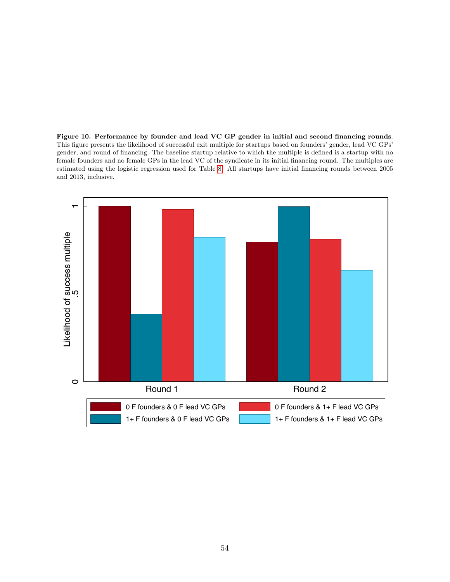<span id="page-54-0"></span>**Figure 10. Performance by founder and lead VC GP gender in initial and second financing rounds**. This figure presents the likelihood of successful exit multiple for startups based on founders' gender, lead VC GPs' gender, and round of financing. The baseline startup relative to which the multiple is defined is a startup with no female founders and no female GPs in the lead VC of the syndicate in its initial financing round. The multiples are estimated using the logistic regression used for Table [8.](#page-41-0) All startups have initial financing rounds between 2005 and 2013, inclusive.

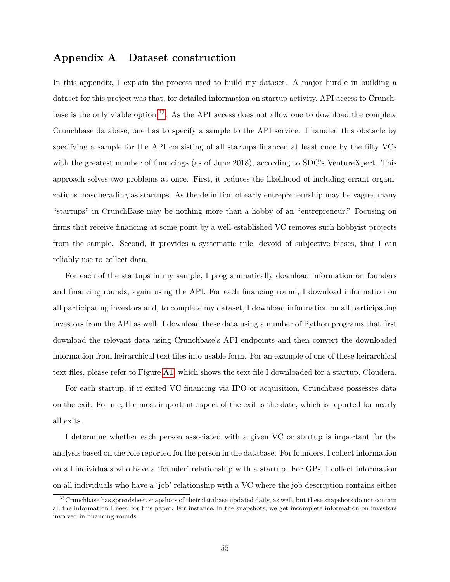# <span id="page-55-0"></span>**Appendix A Dataset construction**

In this appendix, I explain the process used to build my dataset. A major hurdle in building a dataset for this project was that, for detailed information on startup activity, API access to Crunchbase is the only viable option.[33](#page-55-1). As the API access does not allow one to download the complete Crunchbase database, one has to specify a sample to the API service. I handled this obstacle by specifying a sample for the API consisting of all startups financed at least once by the fifty VCs with the greatest number of financings (as of June 2018), according to SDC's VentureXpert. This approach solves two problems at once. First, it reduces the likelihood of including errant organizations masquerading as startups. As the definition of early entrepreneurship may be vague, many "startups" in CrunchBase may be nothing more than a hobby of an "entrepreneur." Focusing on firms that receive financing at some point by a well-established VC removes such hobbyist projects from the sample. Second, it provides a systematic rule, devoid of subjective biases, that I can reliably use to collect data.

For each of the startups in my sample, I programmatically download information on founders and financing rounds, again using the API. For each financing round, I download information on all participating investors and, to complete my dataset, I download information on all participating investors from the API as well. I download these data using a number of Python programs that first download the relevant data using Crunchbase's API endpoints and then convert the downloaded information from heirarchical text files into usable form. For an example of one of these heirarchical text files, please refer to Figure [A1,](#page-59-0) which shows the text file I downloaded for a startup, Cloudera.

For each startup, if it exited VC financing via IPO or acquisition, Crunchbase possesses data on the exit. For me, the most important aspect of the exit is the date, which is reported for nearly all exits.

I determine whether each person associated with a given VC or startup is important for the analysis based on the role reported for the person in the database. For founders, I collect information on all individuals who have a 'founder' relationship with a startup. For GPs, I collect information on all individuals who have a 'job' relationship with a VC where the job description contains either

<span id="page-55-1"></span><sup>&</sup>lt;sup>33</sup>Crunchbase has spreadsheet snapshots of their database updated daily, as well, but these snapshots do not contain all the information I need for this paper. For instance, in the snapshots, we get incomplete information on investors involved in financing rounds.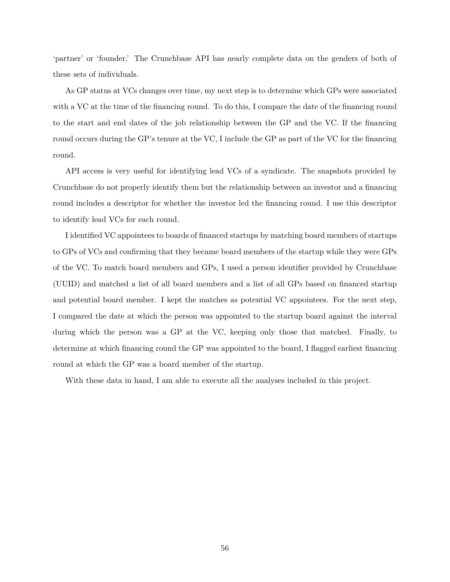'partner' or 'founder.' The Crunchbase API has nearly complete data on the genders of both of these sets of individuals.

As GP status at VCs changes over time, my next step is to determine which GPs were associated with a VC at the time of the financing round. To do this, I compare the date of the financing round to the start and end dates of the job relationship between the GP and the VC. If the financing round occurs during the GP's tenure at the VC, I include the GP as part of the VC for the financing round.

API access is very useful for identifying lead VCs of a syndicate. The snapshots provided by Crunchbase do not properly identify them but the relationship between an investor and a financing round includes a descriptor for whether the investor led the financing round. I use this descriptor to identify lead VCs for each round.

I identified VC appointees to boards of financed startups by matching board members of startups to GPs of VCs and confirming that they became board members of the startup while they were GPs of the VC. To match board members and GPs, I used a person identifier provided by Crunchbase (UUID) and matched a list of all board members and a list of all GPs based on financed startup and potential board member. I kept the matches as potential VC appointees. For the next step, I compared the date at which the person was appointed to the startup board against the interval during which the person was a GP at the VC, keeping only those that matched. Finally, to determine at which financing round the GP was appointed to the board, I flagged earliest financing round at which the GP was a board member of the startup.

With these data in hand, I am able to execute all the analyses included in this project.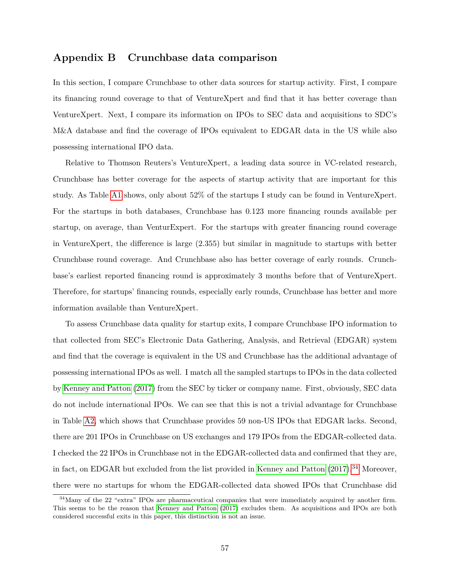# <span id="page-57-0"></span>**Appendix B Crunchbase data comparison**

In this section, I compare Crunchbase to other data sources for startup activity. First, I compare its financing round coverage to that of VentureXpert and find that it has better coverage than VentureXpert. Next, I compare its information on IPOs to SEC data and acquisitions to SDC's M&A database and find the coverage of IPOs equivalent to EDGAR data in the US while also possessing international IPO data.

Relative to Thomson Reuters's VentureXpert, a leading data source in VC-related research, Crunchbase has better coverage for the aspects of startup activity that are important for this study. As Table [A1](#page-58-0) shows, only about 52% of the startups I study can be found in VentureXpert. For the startups in both databases, Crunchbase has 0.123 more financing rounds available per startup, on average, than VenturExpert. For the startups with greater financing round coverage in VentureXpert, the difference is large (2.355) but similar in magnitude to startups with better Crunchbase round coverage. And Crunchbase also has better coverage of early rounds. Crunchbase's earliest reported financing round is approximately 3 months before that of VentureXpert. Therefore, for startups' financing rounds, especially early rounds, Crunchbase has better and more information available than VentureXpert.

To assess Crunchbase data quality for startup exits, I compare Crunchbase IPO information to that collected from SEC's Electronic Data Gathering, Analysis, and Retrieval (EDGAR) system and find that the coverage is equivalent in the US and Crunchbase has the additional advantage of possessing international IPOs as well. I match all the sampled startups to IPOs in the data collected by [Kenney and Patton](#page-34-14) [\(2017\)](#page-34-14) from the SEC by ticker or company name. First, obviously, SEC data do not include international IPOs. We can see that this is not a trivial advantage for Crunchbase in Table [A2,](#page-58-1) which shows that Crunchbase provides 59 non-US IPOs that EDGAR lacks. Second, there are 201 IPOs in Crunchbase on US exchanges and 179 IPOs from the EDGAR-collected data. I checked the 22 IPOs in Crunchbase not in the EDGAR-collected data and confirmed that they are, in fact, on EDGAR but excluded from the list provided in [Kenney and Patton](#page-34-14)  $(2017).^{34}$  $(2017).^{34}$  $(2017).^{34}$  $(2017).^{34}$  Moreover, there were no startups for whom the EDGAR-collected data showed IPOs that Crunchbase did

<span id="page-57-1"></span><sup>&</sup>lt;sup>34</sup>Many of the 22 "extra" IPOs are pharmaceutical companies that were immediately acquired by another firm. This seems to be the reason that [Kenney and Patton](#page-34-14) [\(2017\)](#page-34-14) excludes them. As acquisitions and IPOs are both considered successful exits in this paper, this distinction is not an issue.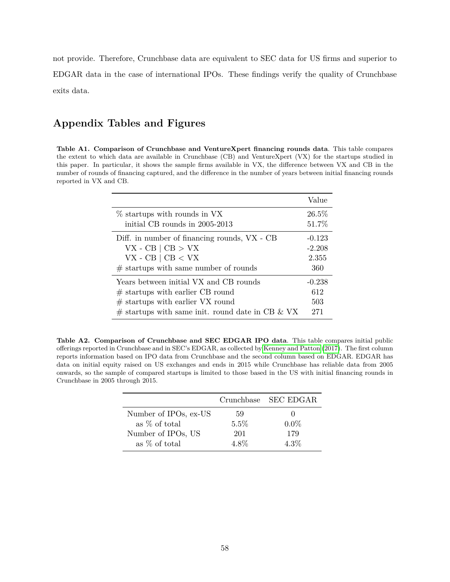not provide. Therefore, Crunchbase data are equivalent to SEC data for US firms and superior to EDGAR data in the case of international IPOs. These findings verify the quality of Crunchbase exits data.

# **Appendix Tables and Figures**

<span id="page-58-0"></span>**Table A1. Comparison of Crunchbase and VentureXpert financing rounds data**. This table compares the extent to which data are available in Crunchbase (CB) and VentureXpert (VX) for the startups studied in this paper. In particular, it shows the sample firms available in VX, the difference between VX and CB in the number of rounds of financing captured, and the difference in the number of years between initial financing rounds reported in VX and CB.

|                                                     | Value    |
|-----------------------------------------------------|----------|
| % startups with rounds in VX                        | 26.5%    |
| initial CB rounds in 2005-2013                      | 51.7%    |
| Diff. in number of financing rounds, VX - CB        | $-0.123$ |
| $VX - CB \mid CB > VX$                              | $-2.208$ |
| $VX$ - CB $\vert$ CB $< VX$                         | 2.355    |
| $\#$ startups with same number of rounds            | 360      |
| Years between initial VX and CB rounds              | $-0.238$ |
| $\#$ startups with earlier CB round                 | 612      |
| $\#$ startups with earlier VX round                 | 503      |
| $\#$ startups with same init. round date in CB & VX | 271      |

<span id="page-58-1"></span>**Table A2. Comparison of Crunchbase and SEC EDGAR IPO data**. This table compares initial public offerings reported in Crunchbase and in SEC's EDGAR, as collected by [Kenney and Patton](#page-34-14) [\(2017\)](#page-34-14). The first column reports information based on IPO data from Crunchbase and the second column based on EDGAR. EDGAR has data on initial equity raised on US exchanges and ends in 2015 while Crunchbase has reliable data from 2005 onwards, so the sample of compared startups is limited to those based in the US with initial financing rounds in Crunchbase in 2005 through 2015.

|                       |      | Crunchbase SEC EDGAR |
|-----------------------|------|----------------------|
| Number of IPOs, ex-US | 59   | $\cup$               |
| as $%$ of total       | 5.5% | $0.0\%$              |
| Number of IPOs, US    | 201  | 179                  |
| as $\%$ of total      | 4.8% | $4.3\%$              |